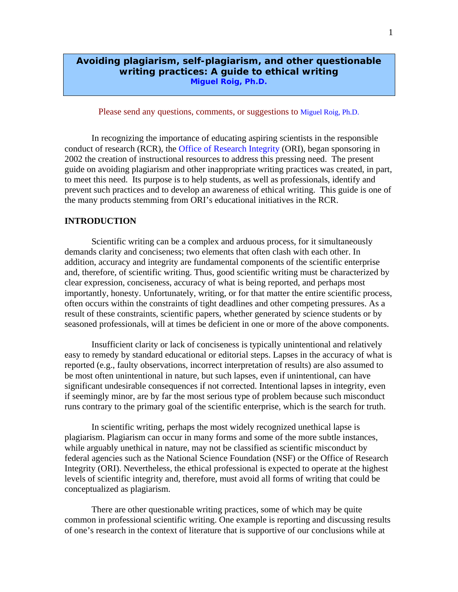## **Avoiding plagiarism, self-plagiarism, and other questionable writing practices: A guide to ethical writing Miguel Roig, Ph.D.**

Please send any questions, comments, or suggestions to Miguel Roig, Ph.D.

In recognizing the importance of educating aspiring scientists in the responsible conduct of research (RCR), the Office of Research Integrity (ORI), began sponsoring in 2002 the creation of instructional resources to address this pressing need. The present guide on avoiding plagiarism and other inappropriate writing practices was created, in part, to meet this need. Its purpose is to help students, as well as professionals, identify and prevent such practices and to develop an awareness of ethical writing. This guide is one of the many products stemming from ORI's educational initiatives in the RCR.

#### **INTRODUCTION**

Scientific writing can be a complex and arduous process, for it simultaneously demands clarity and conciseness; two elements that often clash with each other. In addition, accuracy and integrity are fundamental components of the scientific enterprise and, therefore, of scientific writing. Thus, good scientific writing must be characterized by clear expression, conciseness, accuracy of what is being reported, and perhaps most importantly, honesty. Unfortunately, writing, or for that matter the entire scientific process, often occurs within the constraints of tight deadlines and other competing pressures. As a result of these constraints, scientific papers, whether generated by science students or by seasoned professionals, will at times be deficient in one or more of the above components.

Insufficient clarity or lack of conciseness is typically unintentional and relatively easy to remedy by standard educational or editorial steps. Lapses in the accuracy of what is reported (e.g., faulty observations, incorrect interpretation of results) are also assumed to be most often unintentional in nature, but such lapses, even if unintentional, can have significant undesirable consequences if not corrected. Intentional lapses in integrity, even if seemingly minor, are by far the most serious type of problem because such misconduct runs contrary to the primary goal of the scientific enterprise, which is the search for truth.

In scientific writing, perhaps the most widely recognized unethical lapse is plagiarism. Plagiarism can occur in many forms and some of the more subtle instances, while arguably unethical in nature, may not be classified as scientific misconduct by federal agencies such as the National Science Foundation (NSF) or the Office of Research Integrity (ORI). Nevertheless, the ethical professional is expected to operate at the highest levels of scientific integrity and, therefore, must avoid all forms of writing that could be conceptualized as plagiarism.

There are other questionable writing practices, some of which may be quite common in professional scientific writing. One example is reporting and discussing results of one's research in the context of literature that is supportive of our conclusions while at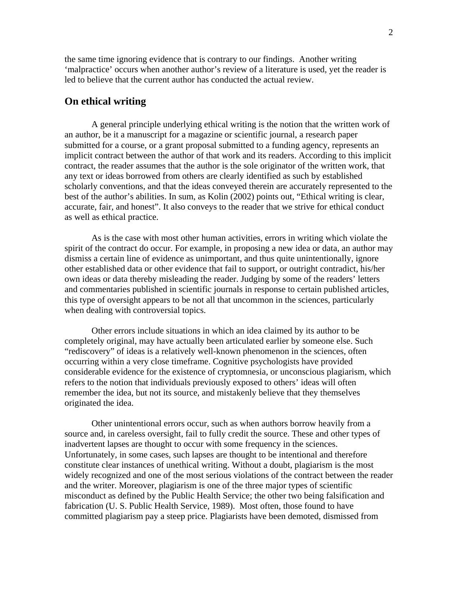the same time ignoring evidence that is contrary to our findings. Another writing 'malpractice' occurs when another author's review of a literature is used, yet the reader is led to believe that the current author has conducted the actual review.

## **On ethical writing**

A general principle underlying ethical writing is the notion that the written work of an author, be it a manuscript for a magazine or scientific journal, a research paper submitted for a course, or a grant proposal submitted to a funding agency, represents an implicit contract between the author of that work and its readers. According to this implicit contract, the reader assumes that the author is the sole originator of the written work, that any text or ideas borrowed from others are clearly identified as such by established scholarly conventions, and that the ideas conveyed therein are accurately represented to the best of the author's abilities. In sum, as Kolin (2002) points out, "Ethical writing is clear, accurate, fair, and honest". It also conveys to the reader that we strive for ethical conduct as well as ethical practice.

As is the case with most other human activities, errors in writing which violate the spirit of the contract do occur. For example, in proposing a new idea or data, an author may dismiss a certain line of evidence as unimportant, and thus quite unintentionally, ignore other established data or other evidence that fail to support, or outright contradict, his/her own ideas or data thereby misleading the reader. Judging by some of the readers' letters and commentaries published in scientific journals in response to certain published articles, this type of oversight appears to be not all that uncommon in the sciences, particularly when dealing with controversial topics.

Other errors include situations in which an idea claimed by its author to be completely original, may have actually been articulated earlier by someone else. Such "rediscovery" of ideas is a relatively well-known phenomenon in the sciences, often occurring within a very close timeframe. Cognitive psychologists have provided considerable evidence for the existence of cryptomnesia, or unconscious plagiarism, which refers to the notion that individuals previously exposed to others' ideas will often remember the idea, but not its source, and mistakenly believe that they themselves originated the idea.

Other unintentional errors occur, such as when authors borrow heavily from a source and, in careless oversight, fail to fully credit the source. These and other types of inadvertent lapses are thought to occur with some frequency in the sciences. Unfortunately, in some cases, such lapses are thought to be intentional and therefore constitute clear instances of unethical writing. Without a doubt, plagiarism is the most widely recognized and one of the most serious violations of the contract between the reader and the writer. Moreover, plagiarism is one of the three major types of scientific misconduct as defined by the Public Health Service; the other two being falsification and fabrication (U. S. Public Health Service, 1989). Most often, those found to have committed plagiarism pay a steep price. Plagiarists have been demoted, dismissed from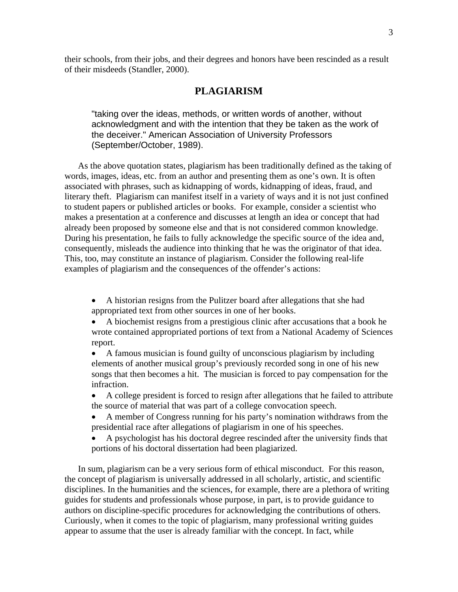their schools, from their jobs, and their degrees and honors have been rescinded as a result of their misdeeds (Standler, 2000).

## **PLAGIARISM**

"taking over the ideas, methods, or written words of another, without acknowledgment and with the intention that they be taken as the work of the deceiver." American Association of University Professors (September/October, 1989).

As the above quotation states, plagiarism has been traditionally defined as the taking of words, images, ideas, etc. from an author and presenting them as one's own. It is often associated with phrases, such as kidnapping of words, kidnapping of ideas, fraud, and literary theft. Plagiarism can manifest itself in a variety of ways and it is not just confined to student papers or published articles or books. For example, consider a scientist who makes a presentation at a conference and discusses at length an idea or concept that had already been proposed by someone else and that is not considered common knowledge. During his presentation, he fails to fully acknowledge the specific source of the idea and, consequently, misleads the audience into thinking that he was the originator of that idea. This, too, may constitute an instance of plagiarism. Consider the following real-life examples of plagiarism and the consequences of the offender's actions:

- A historian resigns from the Pulitzer board after allegations that she had appropriated text from other sources in one of her books.
- A biochemist resigns from a prestigious clinic after accusations that a book he wrote contained appropriated portions of text from a National Academy of Sciences report.
- A famous musician is found guilty of unconscious plagiarism by including elements of another musical group's previously recorded song in one of his new songs that then becomes a hit. The musician is forced to pay compensation for the infraction.
- A college president is forced to resign after allegations that he failed to attribute the source of material that was part of a college convocation speech.
- A member of Congress running for his party's nomination withdraws from the presidential race after allegations of plagiarism in one of his speeches.
- A psychologist has his doctoral degree rescinded after the university finds that portions of his doctoral dissertation had been plagiarized.

In sum, plagiarism can be a very serious form of ethical misconduct. For this reason, the concept of plagiarism is universally addressed in all scholarly, artistic, and scientific disciplines. In the humanities and the sciences, for example, there are a plethora of writing guides for students and professionals whose purpose, in part, is to provide guidance to authors on discipline-specific procedures for acknowledging the contributions of others. Curiously, when it comes to the topic of plagiarism, many professional writing guides appear to assume that the user is already familiar with the concept. In fact, while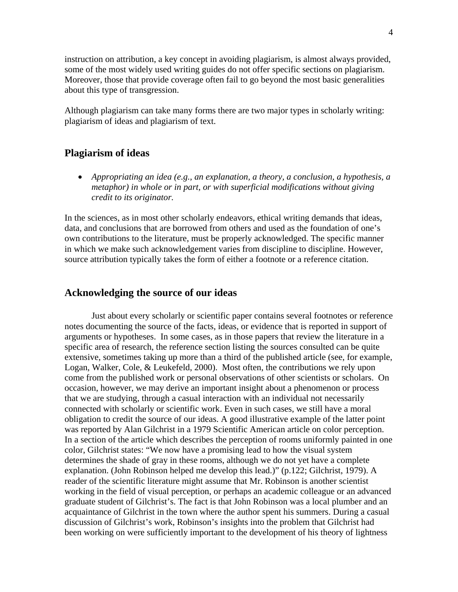instruction on attribution, a key concept in avoiding plagiarism, is almost always provided, some of the most widely used writing guides do not offer specific sections on plagiarism. Moreover, those that provide coverage often fail to go beyond the most basic generalities about this type of transgression.

Although plagiarism can take many forms there are two major types in scholarly writing: plagiarism of ideas and plagiarism of text.

## **Plagiarism of ideas**

• *Appropriating an idea (e.g., an explanation, a theory, a conclusion, a hypothesis, a metaphor) in whole or in part, or with superficial modifications without giving credit to its originator.* 

In the sciences, as in most other scholarly endeavors, ethical writing demands that ideas, data, and conclusions that are borrowed from others and used as the foundation of one's own contributions to the literature, must be properly acknowledged. The specific manner in which we make such acknowledgement varies from discipline to discipline. However, source attribution typically takes the form of either a footnote or a reference citation.

## **Acknowledging the source of our ideas**

Just about every scholarly or scientific paper contains several footnotes or reference notes documenting the source of the facts, ideas, or evidence that is reported in support of arguments or hypotheses. In some cases, as in those papers that review the literature in a specific area of research, the reference section listing the sources consulted can be quite extensive, sometimes taking up more than a third of the published article (see, for example, Logan, Walker, Cole, & Leukefeld, 2000). Most often, the contributions we rely upon come from the published work or personal observations of other scientists or scholars. On occasion, however, we may derive an important insight about a phenomenon or process that we are studying, through a casual interaction with an individual not necessarily connected with scholarly or scientific work. Even in such cases, we still have a moral obligation to credit the source of our ideas. A good illustrative example of the latter point was reported by Alan Gilchrist in a 1979 Scientific American article on color perception. In a section of the article which describes the perception of rooms uniformly painted in one color, Gilchrist states: "We now have a promising lead to how the visual system determines the shade of gray in these rooms, although we do not yet have a complete explanation. (John Robinson helped me develop this lead.)" (p.122; Gilchrist, 1979). A reader of the scientific literature might assume that Mr. Robinson is another scientist working in the field of visual perception, or perhaps an academic colleague or an advanced graduate student of Gilchrist's. The fact is that John Robinson was a local plumber and an acquaintance of Gilchrist in the town where the author spent his summers. During a casual discussion of Gilchrist's work, Robinson's insights into the problem that Gilchrist had been working on were sufficiently important to the development of his theory of lightness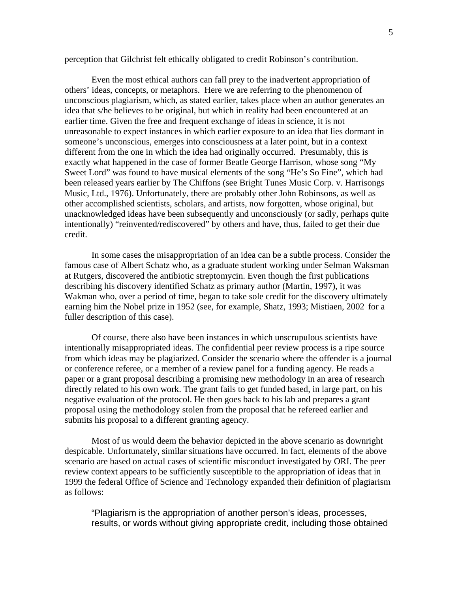perception that Gilchrist felt ethically obligated to credit Robinson's contribution.

 Even the most ethical authors can fall prey to the inadvertent appropriation of others' ideas, concepts, or metaphors. Here we are referring to the phenomenon of unconscious plagiarism, which, as stated earlier, takes place when an author generates an idea that s/he believes to be original, but which in reality had been encountered at an earlier time. Given the free and frequent exchange of ideas in science, it is not unreasonable to expect instances in which earlier exposure to an idea that lies dormant in someone's unconscious, emerges into consciousness at a later point, but in a context different from the one in which the idea had originally occurred. Presumably, this is exactly what happened in the case of former Beatle George Harrison, whose song "My Sweet Lord" was found to have musical elements of the song "He's So Fine", which had been released years earlier by The Chiffons (see Bright Tunes Music Corp. v. Harrisongs Music, Ltd., 1976). Unfortunately, there are probably other John Robinsons, as well as other accomplished scientists, scholars, and artists, now forgotten, whose original, but unacknowledged ideas have been subsequently and unconsciously (or sadly, perhaps quite intentionally) "reinvented/rediscovered" by others and have, thus, failed to get their due credit.

In some cases the misappropriation of an idea can be a subtle process. Consider the famous case of Albert Schatz who, as a graduate student working under Selman Waksman at Rutgers, discovered the antibiotic streptomycin. Even though the first publications describing his discovery identified Schatz as primary author (Martin, 1997), it was Wakman who, over a period of time, began to take sole credit for the discovery ultimately earning him the Nobel prize in 1952 (see, for example, Shatz, 1993; Mistiaen, 2002 for a fuller description of this case).

Of course, there also have been instances in which unscrupulous scientists have intentionally misappropriated ideas. The confidential peer review process is a ripe source from which ideas may be plagiarized. Consider the scenario where the offender is a journal or conference referee, or a member of a review panel for a funding agency. He reads a paper or a grant proposal describing a promising new methodology in an area of research directly related to his own work. The grant fails to get funded based, in large part, on his negative evaluation of the protocol. He then goes back to his lab and prepares a grant proposal using the methodology stolen from the proposal that he refereed earlier and submits his proposal to a different granting agency.

Most of us would deem the behavior depicted in the above scenario as downright despicable. Unfortunately, similar situations have occurred. In fact, elements of the above scenario are based on actual cases of scientific misconduct investigated by ORI. The peer review context appears to be sufficiently susceptible to the appropriation of ideas that in 1999 the federal Office of Science and Technology expanded their definition of plagiarism as follows:

"Plagiarism is the appropriation of another person's ideas, processes, results, or words without giving appropriate credit, including those obtained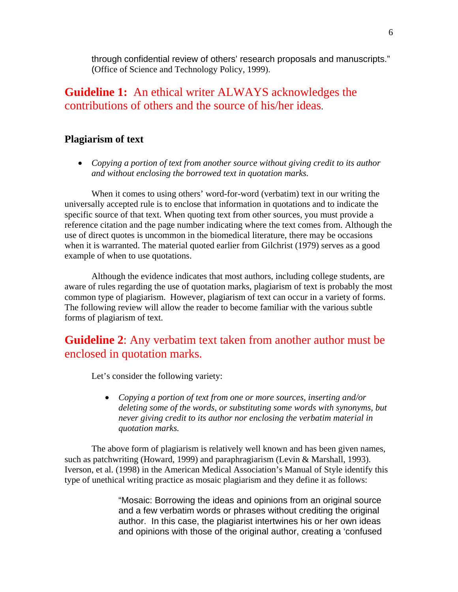through confidential review of others' research proposals and manuscripts." (Office of Science and Technology Policy, 1999).

# **Guideline 1:** An ethical writer ALWAYS acknowledges the contributions of others and the source of his/her ideas.

# **Plagiarism of text**

• *Copying a portion of text from another source without giving credit to its author and without enclosing the borrowed text in quotation marks.*

When it comes to using others' word-for-word (verbatim) text in our writing the universally accepted rule is to enclose that information in quotations and to indicate the specific source of that text. When quoting text from other sources, you must provide a reference citation and the page number indicating where the text comes from. Although the use of direct quotes is uncommon in the biomedical literature, there may be occasions when it is warranted. The material quoted earlier from Gilchrist (1979) serves as a good example of when to use quotations.

Although the evidence indicates that most authors, including college students, are aware of rules regarding the use of quotation marks, plagiarism of text is probably the most common type of plagiarism. However, plagiarism of text can occur in a variety of forms. The following review will allow the reader to become familiar with the various subtle forms of plagiarism of text.

# **Guideline 2**: Any verbatim text taken from another author must be enclosed in quotation marks.

Let's consider the following variety:

• *Copying a portion of text from one or more sources, inserting and/or deleting some of the words, or substituting some words with synonyms, but never giving credit to its author nor enclosing the verbatim material in quotation marks.* 

The above form of plagiarism is relatively well known and has been given names, such as patchwriting (Howard, 1999) and paraphragiarism (Levin & Marshall, 1993). Iverson, et al. (1998) in the American Medical Association's Manual of Style identify this type of unethical writing practice as mosaic plagiarism and they define it as follows:

> "Mosaic: Borrowing the ideas and opinions from an original source and a few verbatim words or phrases without crediting the original author. In this case, the plagiarist intertwines his or her own ideas and opinions with those of the original author, creating a 'confused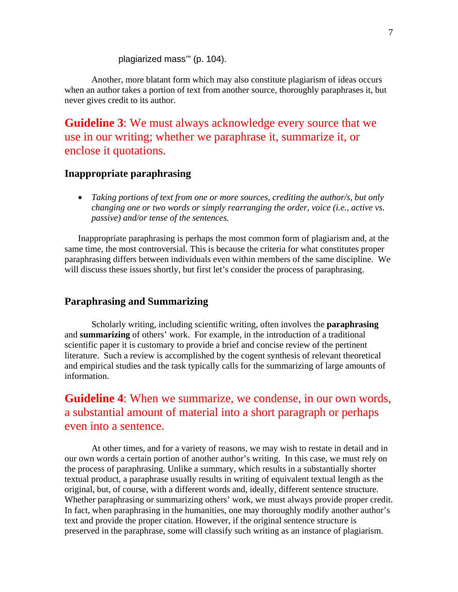#### plagiarized mass'" (p. 104).

Another, more blatant form which may also constitute plagiarism of ideas occurs when an author takes a portion of text from another source, thoroughly paraphrases it, but never gives credit to its author.

**Guideline 3**: We must always acknowledge every source that we use in our writing; whether we paraphrase it, summarize it, or enclose it quotations.

## **Inappropriate paraphrasing**

• *Taking portions of text from one or more sources, crediting the author/s, but only changing one or two words or simply rearranging the order, voice (i.e., active vs. passive) and/or tense of the sentences.* 

Inappropriate paraphrasing is perhaps the most common form of plagiarism and, at the same time, the most controversial. This is because the criteria for what constitutes proper paraphrasing differs between individuals even within members of the same discipline. We will discuss these issues shortly, but first let's consider the process of paraphrasing.

## **Paraphrasing and Summarizing**

Scholarly writing, including scientific writing, often involves the **paraphrasing** and **summarizing** of others' work. For example, in the introduction of a traditional scientific paper it is customary to provide a brief and concise review of the pertinent literature. Such a review is accomplished by the cogent synthesis of relevant theoretical and empirical studies and the task typically calls for the summarizing of large amounts of information.

**Guideline 4**: When we summarize, we condense, in our own words, a substantial amount of material into a short paragraph or perhaps even into a sentence.

At other times, and for a variety of reasons, we may wish to restate in detail and in our own words a certain portion of another author's writing. In this case, we must rely on the process of paraphrasing. Unlike a summary, which results in a substantially shorter textual product, a paraphrase usually results in writing of equivalent textual length as the original, but, of course, with a different words and, ideally, different sentence structure. Whether paraphrasing or summarizing others' work, we must always provide proper credit. In fact, when paraphrasing in the humanities, one may thoroughly modify another author's text and provide the proper citation. However, if the original sentence structure is preserved in the paraphrase, some will classify such writing as an instance of plagiarism.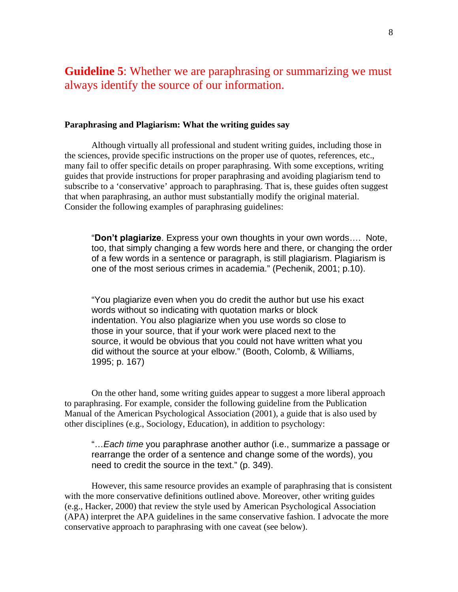# **Guideline 5**: Whether we are paraphrasing or summarizing we must always identify the source of our information.

#### **Paraphrasing and Plagiarism: What the writing guides say**

Although virtually all professional and student writing guides, including those in the sciences, provide specific instructions on the proper use of quotes, references, etc., many fail to offer specific details on proper paraphrasing. With some exceptions, writing guides that provide instructions for proper paraphrasing and avoiding plagiarism tend to subscribe to a 'conservative' approach to paraphrasing. That is, these guides often suggest that when paraphrasing, an author must substantially modify the original material. Consider the following examples of paraphrasing guidelines:

"**Don't plagiarize**. Express your own thoughts in your own words…. Note, too, that simply changing a few words here and there, or changing the order of a few words in a sentence or paragraph, is still plagiarism. Plagiarism is one of the most serious crimes in academia." (Pechenik, 2001; p.10).

"You plagiarize even when you do credit the author but use his exact words without so indicating with quotation marks or block indentation. You also plagiarize when you use words so close to those in your source, that if your work were placed next to the source, it would be obvious that you could not have written what you did without the source at your elbow." (Booth, Colomb, & Williams, 1995; p. 167)

On the other hand, some writing guides appear to suggest a more liberal approach to paraphrasing. For example, consider the following guideline from the Publication Manual of the American Psychological Association (2001), a guide that is also used by other disciplines (e.g., Sociology, Education), in addition to psychology:

"…*Each time* you paraphrase another author (i.e., summarize a passage or rearrange the order of a sentence and change some of the words), you need to credit the source in the text." (p. 349).

However, this same resource provides an example of paraphrasing that is consistent with the more conservative definitions outlined above. Moreover, other writing guides (e.g., Hacker, 2000) that review the style used by American Psychological Association (APA) interpret the APA guidelines in the same conservative fashion. I advocate the more conservative approach to paraphrasing with one caveat (see below).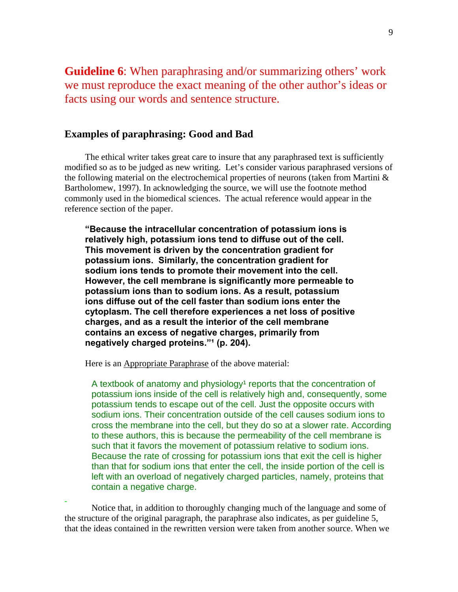**Guideline 6**: When paraphrasing and/or summarizing others' work we must reproduce the exact meaning of the other author's ideas or facts using our words and sentence structure.

## **Examples of paraphrasing: Good and Bad**

The ethical writer takes great care to insure that any paraphrased text is sufficiently modified so as to be judged as new writing. Let's consider various paraphrased versions of the following material on the electrochemical properties of neurons (taken from Martini  $\&$ Bartholomew, 1997). In acknowledging the source, we will use the footnote method commonly used in the biomedical sciences. The actual reference would appear in the reference section of the paper.

**"Because the intracellular concentration of potassium ions is relatively high, potassium ions tend to diffuse out of the cell. This movement is driven by the concentration gradient for potassium ions. Similarly, the concentration gradient for sodium ions tends to promote their movement into the cell. However, the cell membrane is significantly more permeable to potassium ions than to sodium ions. As a result, potassium ions diffuse out of the cell faster than sodium ions enter the cytoplasm. The cell therefore experiences a net loss of positive charges, and as a result the interior of the cell membrane contains an excess of negative charges, primarily from**  negatively charged proteins."<sup>1</sup> (p. 204).

Here is an Appropriate Paraphrase of the above material:

A textbook of anatomy and physiology<sup>1</sup> reports that the concentration of potassium ions inside of the cell is relatively high and, consequently, some potassium tends to escape out of the cell. Just the opposite occurs with sodium ions. Their concentration outside of the cell causes sodium ions to cross the membrane into the cell, but they do so at a slower rate. According to these authors, this is because the permeability of the cell membrane is such that it favors the movement of potassium relative to sodium ions. Because the rate of crossing for potassium ions that exit the cell is higher than that for sodium ions that enter the cell, the inside portion of the cell is left with an overload of negatively charged particles, namely, proteins that contain a negative charge.

Notice that, in addition to thoroughly changing much of the language and some of the structure of the original paragraph, the paraphrase also indicates, as per guideline 5, that the ideas contained in the rewritten version were taken from another source. When we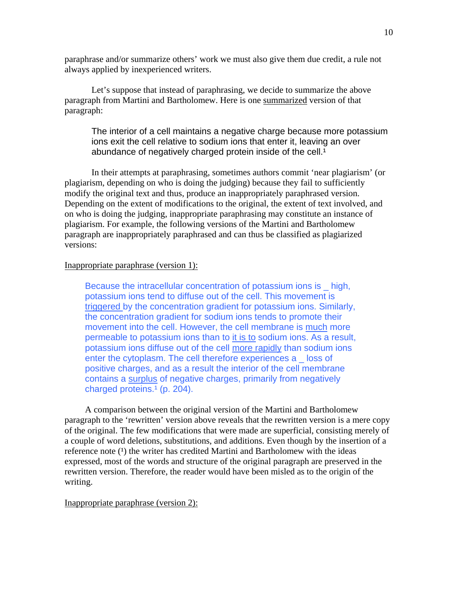paraphrase and/or summarize others' work we must also give them due credit, a rule not always applied by inexperienced writers.

Let's suppose that instead of paraphrasing, we decide to summarize the above paragraph from Martini and Bartholomew. Here is one summarized version of that paragraph:

The interior of a cell maintains a negative charge because more potassium ions exit the cell relative to sodium ions that enter it, leaving an over abundance of negatively charged protein inside of the cell.<sup>1</sup>

In their attempts at paraphrasing, sometimes authors commit 'near plagiarism' (or plagiarism, depending on who is doing the judging) because they fail to sufficiently modify the original text and thus, produce an inappropriately paraphrased version. Depending on the extent of modifications to the original, the extent of text involved, and on who is doing the judging, inappropriate paraphrasing may constitute an instance of plagiarism. For example, the following versions of the Martini and Bartholomew paragraph are inappropriately paraphrased and can thus be classified as plagiarized versions:

#### Inappropriate paraphrase (version 1):

Because the intracellular concentration of potassium ions is \_ high, potassium ions tend to diffuse out of the cell. This movement is triggered by the concentration gradient for potassium ions. Similarly, the concentration gradient for sodium ions tends to promote their movement into the cell. However, the cell membrane is much more permeable to potassium ions than to it is to sodium ions. As a result, potassium ions diffuse out of the cell more rapidly than sodium ions enter the cytoplasm. The cell therefore experiences a \_ loss of positive charges, and as a result the interior of the cell membrane contains a surplus of negative charges, primarily from negatively charged proteins. $<sup>1</sup>$  (p. 204).</sup>

A comparison between the original version of the Martini and Bartholomew paragraph to the 'rewritten' version above reveals that the rewritten version is a mere copy of the original. The few modifications that were made are superficial, consisting merely of a couple of word deletions, substitutions, and additions. Even though by the insertion of a reference note  $(1)$  the writer has credited Martini and Bartholomew with the ideas expressed, most of the words and structure of the original paragraph are preserved in the rewritten version. Therefore, the reader would have been misled as to the origin of the writing.

#### Inappropriate paraphrase (version 2):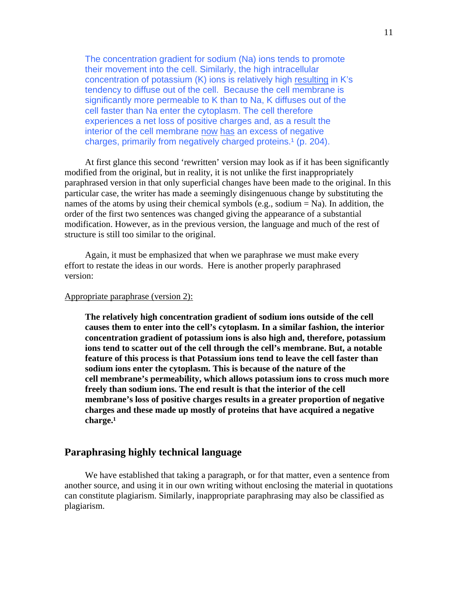The concentration gradient for sodium (Na) ions tends to promote their movement into the cell. Similarly, the high intracellular concentration of potassium (K) ions is relatively high resulting in K's tendency to diffuse out of the cell. Because the cell membrane is significantly more permeable to K than to Na, K diffuses out of the cell faster than Na enter the cytoplasm. The cell therefore experiences a net loss of positive charges and, as a result the interior of the cell membrane now has an excess of negative charges, primarily from negatively charged proteins.<sup>1</sup> (p. 204).

At first glance this second 'rewritten' version may look as if it has been significantly modified from the original, but in reality, it is not unlike the first inappropriately paraphrased version in that only superficial changes have been made to the original. In this particular case, the writer has made a seemingly disingenuous change by substituting the names of the atoms by using their chemical symbols (e.g., sodium  $= Na$ ). In addition, the order of the first two sentences was changed giving the appearance of a substantial modification. However, as in the previous version, the language and much of the rest of structure is still too similar to the original.

Again, it must be emphasized that when we paraphrase we must make every effort to restate the ideas in our words. Here is another properly paraphrased version:

#### Appropriate paraphrase (version 2):

**The relatively high concentration gradient of sodium ions outside of the cell causes them to enter into the cell's cytoplasm. In a similar fashion, the interior concentration gradient of potassium ions is also high and, therefore, potassium ions tend to scatter out of the cell through the cell's membrane. But, a notable feature of this process is that Potassium ions tend to leave the cell faster than sodium ions enter the cytoplasm. This is because of the nature of the cell membrane's permeability, which allows potassium ions to cross much more freely than sodium ions. The end result is that the interior of the cell membrane's loss of positive charges results in a greater proportion of negative charges and these made up mostly of proteins that have acquired a negative**  charge.<sup>1</sup>

## **Paraphrasing highly technical language**

We have established that taking a paragraph, or for that matter, even a sentence from another source, and using it in our own writing without enclosing the material in quotations can constitute plagiarism. Similarly, inappropriate paraphrasing may also be classified as plagiarism.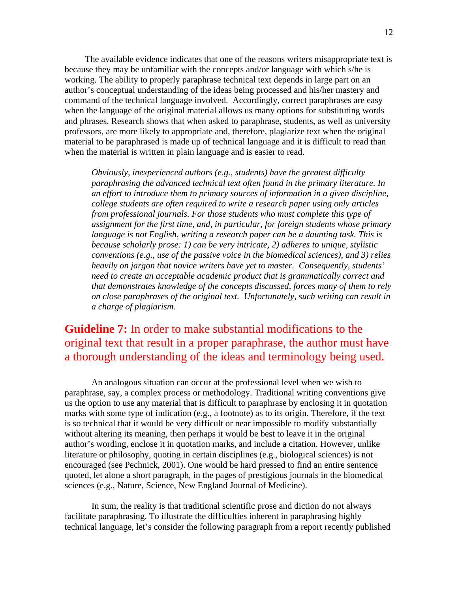The available evidence indicates that one of the reasons writers misappropriate text is because they may be unfamiliar with the concepts and/or language with which s/he is working. The ability to properly paraphrase technical text depends in large part on an author's conceptual understanding of the ideas being processed and his/her mastery and command of the technical language involved. Accordingly, correct paraphrases are easy when the language of the original material allows us many options for substituting words and phrases. Research shows that when asked to paraphrase, students, as well as university professors, are more likely to appropriate and, therefore, plagiarize text when the original material to be paraphrased is made up of technical language and it is difficult to read than when the material is written in plain language and is easier to read.

*Obviously, inexperienced authors (e.g., students) have the greatest difficulty paraphrasing the advanced technical text often found in the primary literature. In an effort to introduce them to primary sources of information in a given discipline, college students are often required to write a research paper using only articles from professional journals. For those students who must complete this type of assignment for the first time, and, in particular, for foreign students whose primary language is not English, writing a research paper can be a daunting task. This is because scholarly prose: 1) can be very intricate, 2) adheres to unique, stylistic conventions (e.g., use of the passive voice in the biomedical sciences), and 3) relies heavily on jargon that novice writers have yet to master. Consequently, students' need to create an acceptable academic product that is grammatically correct and that demonstrates knowledge of the concepts discussed, forces many of them to rely on close paraphrases of the original text. Unfortunately, such writing can result in a charge of plagiarism.* 

# **Guideline 7:** In order to make substantial modifications to the original text that result in a proper paraphrase, the author must have a thorough understanding of the ideas and terminology being used.

 An analogous situation can occur at the professional level when we wish to paraphrase, say, a complex process or methodology. Traditional writing conventions give us the option to use any material that is difficult to paraphrase by enclosing it in quotation marks with some type of indication (e.g., a footnote) as to its origin. Therefore, if the text is so technical that it would be very difficult or near impossible to modify substantially without altering its meaning, then perhaps it would be best to leave it in the original author's wording, enclose it in quotation marks, and include a citation. However, unlike literature or philosophy, quoting in certain disciplines (e.g., biological sciences) is not encouraged (see Pechnick, 2001). One would be hard pressed to find an entire sentence quoted, let alone a short paragraph, in the pages of prestigious journals in the biomedical sciences (e.g., Nature, Science, New England Journal of Medicine).

In sum, the reality is that traditional scientific prose and diction do not always facilitate paraphrasing. To illustrate the difficulties inherent in paraphrasing highly technical language, let's consider the following paragraph from a report recently published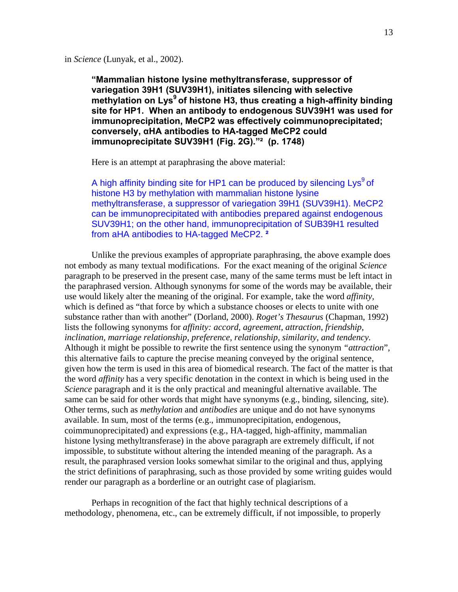in *Science* (Lunyak, et al., 2002).

**"Mammalian histone lysine methyltransferase, suppressor of variegation 39H1 (SUV39H1), initiates silencing with selective**  methylation on Lys<sup>9</sup> of histone H3, thus creating a high-affinity binding **site for HP1. When an antibody to endogenous SUV39H1 was used for immunoprecipitation, MeCP2 was effectively coimmunoprecipitated; conversely, αHA antibodies to HA-tagged MeCP2 could immunoprecipitate SUV39H1 (Fig. 2G)."² (p. 1748)** 

Here is an attempt at paraphrasing the above material:

A high affinity binding site for HP1 can be produced by silencing Lys<sup>9</sup> of histone H3 by methylation with mammalian histone lysine methyltransferase, a suppressor of variegation 39H1 (SUV39H1). MeCP2 can be immunoprecipitated with antibodies prepared against endogenous SUV39H1; on the other hand, immunoprecipitation of SUB39H1 resulted from aHA antibodies to HA-tagged MeCP2. **²**

Unlike the previous examples of appropriate paraphrasing, the above example does not embody as many textual modifications. For the exact meaning of the original *Science* paragraph to be preserved in the present case, many of the same terms must be left intact in the paraphrased version. Although synonyms for some of the words may be available, their use would likely alter the meaning of the original. For example, take the word *affinity,*  which is defined as "that force by which a substance chooses or elects to unite with one substance rather than with another" (Dorland, 2000). *Roget's Thesaurus* (Chapman, 1992) lists the following synonyms for *affinity: accord, agreement, attraction, friendship, inclination, marriage relationship, preference, relationship, similarity, and tendency.*  Although it might be possible to rewrite the first sentence using the synonym *"attraction*", this alternative fails to capture the precise meaning conveyed by the original sentence, given how the term is used in this area of biomedical research. The fact of the matter is that the word *affinity* has a very specific denotation in the context in which is being used in the *Science* paragraph and it is the only practical and meaningful alternative available. The same can be said for other words that might have synonyms (e.g., binding, silencing, site). Other terms, such as *methylation* and *antibodies* are unique and do not have synonyms available. In sum, most of the terms (e.g., immunoprecipitation, endogenous, coimmunoprecipitated) and expressions (e.g., HA-tagged, high-affinity, mammalian histone lysing methyltransferase) in the above paragraph are extremely difficult, if not impossible, to substitute without altering the intended meaning of the paragraph. As a result, the paraphrased version looks somewhat similar to the original and thus, applying the strict definitions of paraphrasing, such as those provided by some writing guides would render our paragraph as a borderline or an outright case of plagiarism.

Perhaps in recognition of the fact that highly technical descriptions of a methodology, phenomena, etc., can be extremely difficult, if not impossible, to properly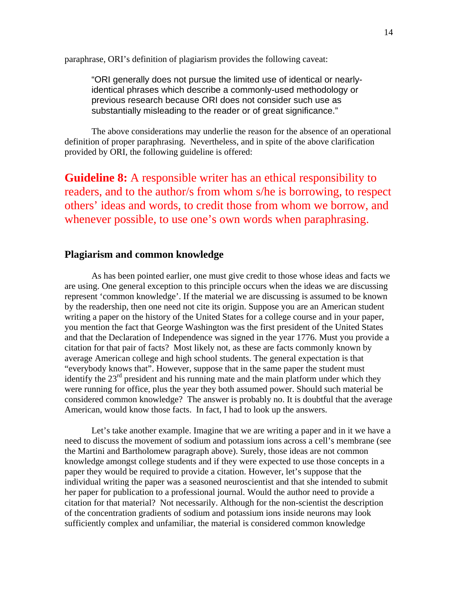paraphrase, ORI's definition of plagiarism provides the following caveat:

"ORI generally does not pursue the limited use of identical or nearlyidentical phrases which describe a commonly-used methodology or previous research because ORI does not consider such use as substantially misleading to the reader or of great significance."

The above considerations may underlie the reason for the absence of an operational definition of proper paraphrasing. Nevertheless, and in spite of the above clarification provided by ORI, the following guideline is offered:

**Guideline 8:** A responsible writer has an ethical responsibility to readers, and to the author/s from whom s/he is borrowing, to respect others' ideas and words, to credit those from whom we borrow, and whenever possible, to use one's own words when paraphrasing.

## **Plagiarism and common knowledge**

As has been pointed earlier, one must give credit to those whose ideas and facts we are using. One general exception to this principle occurs when the ideas we are discussing represent 'common knowledge'. If the material we are discussing is assumed to be known by the readership, then one need not cite its origin. Suppose you are an American student writing a paper on the history of the United States for a college course and in your paper, you mention the fact that George Washington was the first president of the United States and that the Declaration of Independence was signed in the year 1776. Must you provide a citation for that pair of facts? Most likely not, as these are facts commonly known by average American college and high school students. The general expectation is that "everybody knows that". However, suppose that in the same paper the student must identify the  $23<sup>rd</sup>$  president and his running mate and the main platform under which they were running for office, plus the year they both assumed power. Should such material be considered common knowledge? The answer is probably no. It is doubtful that the average American, would know those facts. In fact, I had to look up the answers.

Let's take another example. Imagine that we are writing a paper and in it we have a need to discuss the movement of sodium and potassium ions across a cell's membrane (see the Martini and Bartholomew paragraph above). Surely, those ideas are not common knowledge amongst college students and if they were expected to use those concepts in a paper they would be required to provide a citation. However, let's suppose that the individual writing the paper was a seasoned neuroscientist and that she intended to submit her paper for publication to a professional journal. Would the author need to provide a citation for that material? Not necessarily. Although for the non-scientist the description of the concentration gradients of sodium and potassium ions inside neurons may look sufficiently complex and unfamiliar, the material is considered common knowledge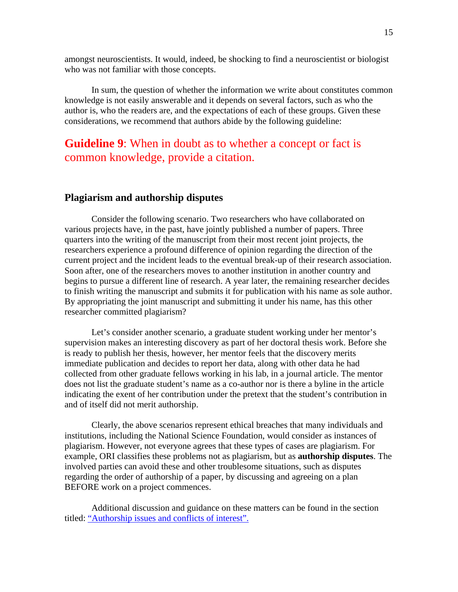amongst neuroscientists. It would, indeed, be shocking to find a neuroscientist or biologist who was not familiar with those concepts.

In sum, the question of whether the information we write about constitutes common knowledge is not easily answerable and it depends on several factors, such as who the author is, who the readers are, and the expectations of each of these groups. Given these considerations, we recommend that authors abide by the following guideline:

# **Guideline 9**: When in doubt as to whether a concept or fact is common knowledge, provide a citation.

## **Plagiarism and authorship disputes**

Consider the following scenario. Two researchers who have collaborated on various projects have, in the past, have jointly published a number of papers. Three quarters into the writing of the manuscript from their most recent joint projects, the researchers experience a profound difference of opinion regarding the direction of the current project and the incident leads to the eventual break-up of their research association. Soon after, one of the researchers moves to another institution in another country and begins to pursue a different line of research. A year later, the remaining researcher decides to finish writing the manuscript and submits it for publication with his name as sole author. By appropriating the joint manuscript and submitting it under his name, has this other researcher committed plagiarism?

Let's consider another scenario, a graduate student working under her mentor's supervision makes an interesting discovery as part of her doctoral thesis work. Before she is ready to publish her thesis, however, her mentor feels that the discovery merits immediate publication and decides to report her data, along with other data he had collected from other graduate fellows working in his lab, in a journal article. The mentor does not list the graduate student's name as a co-author nor is there a byline in the article indicating the exent of her contribution under the pretext that the student's contribution in and of itself did not merit authorship.

Clearly, the above scenarios represent ethical breaches that many individuals and institutions, including the National Science Foundation, would consider as instances of plagiarism. However, not everyone agrees that these types of cases are plagiarism. For example, ORI classifies these problems not as plagiarism, but as **authorship disputes**. The involved parties can avoid these and other troublesome situations, such as disputes regarding the order of authorship of a paper, by discussing and agreeing on a plan BEFORE work on a project commences.

Additional discussion and guidance on these matters can be found in the section titled: "Authorship issues and conflicts of interest".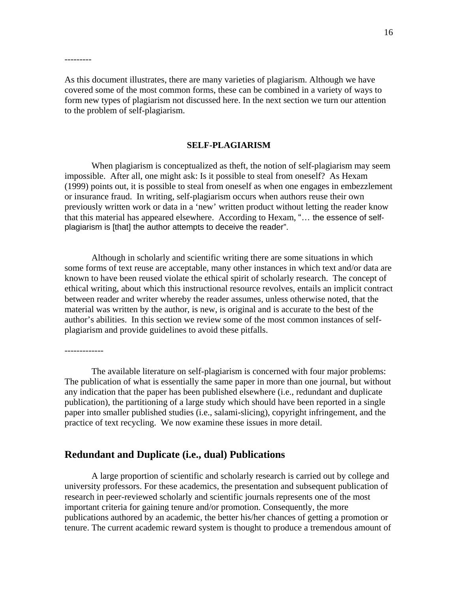As this document illustrates, there are many varieties of plagiarism. Although we have covered some of the most common forms, these can be combined in a variety of ways to form new types of plagiarism not discussed here. In the next section we turn our attention to the problem of self-plagiarism.

---------

-------------

#### **SELF-PLAGIARISM**

When plagiarism is conceptualized as theft, the notion of self-plagiarism may seem impossible. After all, one might ask: Is it possible to steal from oneself? As Hexam (1999) points out, it is possible to steal from oneself as when one engages in embezzlement or insurance fraud. In writing, self-plagiarism occurs when authors reuse their own previously written work or data in a 'new' written product without letting the reader know that this material has appeared elsewhere. According to Hexam, "… the essence of selfplagiarism is [that] the author attempts to deceive the reader".

Although in scholarly and scientific writing there are some situations in which some forms of text reuse are acceptable, many other instances in which text and/or data are known to have been reused violate the ethical spirit of scholarly research. The concept of ethical writing, about which this instructional resource revolves, entails an implicit contract between reader and writer whereby the reader assumes, unless otherwise noted, that the material was written by the author, is new, is original and is accurate to the best of the author's abilities. In this section we review some of the most common instances of selfplagiarism and provide guidelines to avoid these pitfalls.

The available literature on self-plagiarism is concerned with four major problems: The publication of what is essentially the same paper in more than one journal, but without any indication that the paper has been published elsewhere (i.e., redundant and duplicate publication), the partitioning of a large study which should have been reported in a single paper into smaller published studies (i.e., salami-slicing), copyright infringement, and the practice of text recycling. We now examine these issues in more detail.

#### **Redundant and Duplicate (i.e., dual) Publications**

A large proportion of scientific and scholarly research is carried out by college and university professors. For these academics, the presentation and subsequent publication of research in peer-reviewed scholarly and scientific journals represents one of the most important criteria for gaining tenure and/or promotion. Consequently, the more publications authored by an academic, the better his/her chances of getting a promotion or tenure. The current academic reward system is thought to produce a tremendous amount of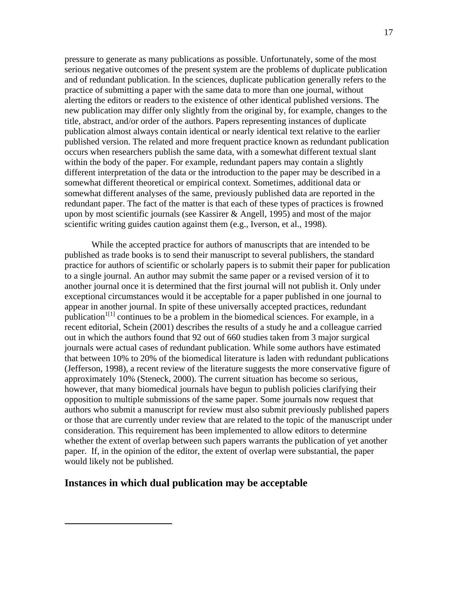pressure to generate as many publications as possible. Unfortunately, some of the most serious negative outcomes of the present system are the problems of duplicate publication and of redundant publication. In the sciences, duplicate publication generally refers to the practice of submitting a paper with the same data to more than one journal, without alerting the editors or readers to the existence of other identical published versions. The new publication may differ only slightly from the original by, for example, changes to the title, abstract, and/or order of the authors. Papers representing instances of duplicate publication almost always contain identical or nearly identical text relative to the earlier published version. The related and more frequent practice known as redundant publication occurs when researchers publish the same data, with a somewhat different textual slant within the body of the paper. For example, redundant papers may contain a slightly different interpretation of the data or the introduction to the paper may be described in a somewhat different theoretical or empirical context. Sometimes, additional data or somewhat different analyses of the same, previously published data are reported in the redundant paper. The fact of the matter is that each of these types of practices is frowned upon by most scientific journals (see Kassirer & Angell, 1995) and most of the major scientific writing guides caution against them (e.g., Iverson, et al., 1998).

While the accepted practice for authors of manuscripts that are intended to be published as trade books is to send their manuscript to several publishers, the standard practice for authors of scientific or scholarly papers is to submit their paper for publication to a single journal. An author may submit the same paper or a revised version of it to another journal once it is determined that the first journal will not publish it. Only under exceptional circumstances would it be acceptable for a paper published in one journal to appear in another journal. In spite of these universally accepted practices, redundant publication<sup> $1[1]$ </sup> continues to be a problem in the biomedical sciences. For example, in a recent editorial, Schein (2001) describes the results of a study he and a colleague carried out in which the authors found that 92 out of 660 studies taken from 3 major surgical journals were actual cases of redundant publication. While some authors have estimated that between 10% to 20% of the biomedical literature is laden with redundant publications (Jefferson, 1998), a recent review of the literature suggests the more conservative figure of approximately 10% (Steneck, 2000). The current situation has become so serious, however, that many biomedical journals have begun to publish policies clarifying their opposition to multiple submissions of the same paper. Some journals now request that authors who submit a manuscript for review must also submit previously published papers or those that are currently under review that are related to the topic of the manuscript under consideration. This requirement has been implemented to allow editors to determine whether the extent of overlap between such papers warrants the publication of yet another paper. If, in the opinion of the editor, the extent of overlap were substantial, the paper would likely not be published.

#### **Instances in which dual publication may be acceptable**

 $\overline{a}$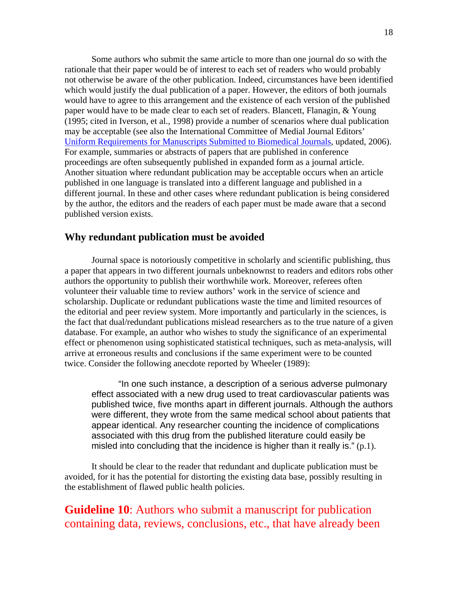Some authors who submit the same article to more than one journal do so with the rationale that their paper would be of interest to each set of readers who would probably not otherwise be aware of the other publication. Indeed, circumstances have been identified which would justify the dual publication of a paper. However, the editors of both journals would have to agree to this arrangement and the existence of each version of the published paper would have to be made clear to each set of readers. Blancett, Flanagin, & Young (1995; cited in Iverson, et al., 1998) provide a number of scenarios where dual publication may be acceptable (see also the International Committee of Medial Journal Editors' Uniform Requirements for Manuscripts Submitted to Biomedical Journals, updated, 2006). For example, summaries or abstracts of papers that are published in conference proceedings are often subsequently published in expanded form as a journal article. Another situation where redundant publication may be acceptable occurs when an article published in one language is translated into a different language and published in a different journal. In these and other cases where redundant publication is being considered by the author, the editors and the readers of each paper must be made aware that a second published version exists.

## **Why redundant publication must be avoided**

Journal space is notoriously competitive in scholarly and scientific publishing, thus a paper that appears in two different journals unbeknownst to readers and editors robs other authors the opportunity to publish their worthwhile work. Moreover, referees often volunteer their valuable time to review authors' work in the service of science and scholarship. Duplicate or redundant publications waste the time and limited resources of the editorial and peer review system. More importantly and particularly in the sciences, is the fact that dual/redundant publications mislead researchers as to the true nature of a given database. For example, an author who wishes to study the significance of an experimental effect or phenomenon using sophisticated statistical techniques, such as meta-analysis, will arrive at erroneous results and conclusions if the same experiment were to be counted twice. Consider the following anecdote reported by Wheeler (1989):

"In one such instance, a description of a serious adverse pulmonary effect associated with a new drug used to treat cardiovascular patients was published twice, five months apart in different journals. Although the authors were different, they wrote from the same medical school about patients that appear identical. Any researcher counting the incidence of complications associated with this drug from the published literature could easily be misled into concluding that the incidence is higher than it really is."  $(p,1)$ .

 It should be clear to the reader that redundant and duplicate publication must be avoided, for it has the potential for distorting the existing data base, possibly resulting in the establishment of flawed public health policies.

**Guideline 10**: Authors who submit a manuscript for publication containing data, reviews, conclusions, etc., that have already been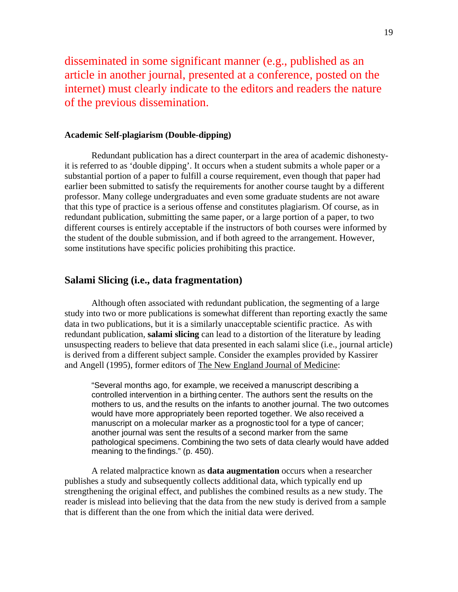disseminated in some significant manner (e.g., published as an article in another journal, presented at a conference, posted on the internet) must clearly indicate to the editors and readers the nature of the previous dissemination.

#### **Academic Self-plagiarism (Double-dipping)**

Redundant publication has a direct counterpart in the area of academic dishonestyit is referred to as 'double dipping'. It occurs when a student submits a whole paper or a substantial portion of a paper to fulfill a course requirement, even though that paper had earlier been submitted to satisfy the requirements for another course taught by a different professor. Many college undergraduates and even some graduate students are not aware that this type of practice is a serious offense and constitutes plagiarism. Of course, as in redundant publication, submitting the same paper, or a large portion of a paper, to two different courses is entirely acceptable if the instructors of both courses were informed by the student of the double submission, and if both agreed to the arrangement. However, some institutions have specific policies prohibiting this practice.

## **Salami Slicing (i.e., data fragmentation)**

 Although often associated with redundant publication, the segmenting of a large study into two or more publications is somewhat different than reporting exactly the same data in two publications, but it is a similarly unacceptable scientific practice. As with redundant publication, **salami slicing** can lead to a distortion of the literature by leading unsuspecting readers to believe that data presented in each salami slice (i.e., journal article) is derived from a different subject sample. Consider the examples provided by Kassirer and Angell (1995), former editors of The New England Journal of Medicine:

"Several months ago, for example, we received a manuscript describing a controlled intervention in a birthing center. The authors sent the results on the mothers to us, and the results on the infants to another journal. The two outcomes would have more appropriately been reported together. We also received a manuscript on a molecular marker as a prognostic tool for a type of cancer; another journal was sent the results of a second marker from the same pathological specimens. Combining the two sets of data clearly would have added meaning to the findings." (p. 450).

A related malpractice known as **data augmentation** occurs when a researcher publishes a study and subsequently collects additional data, which typically end up strengthening the original effect, and publishes the combined results as a new study. The reader is mislead into believing that the data from the new study is derived from a sample that is different than the one from which the initial data were derived.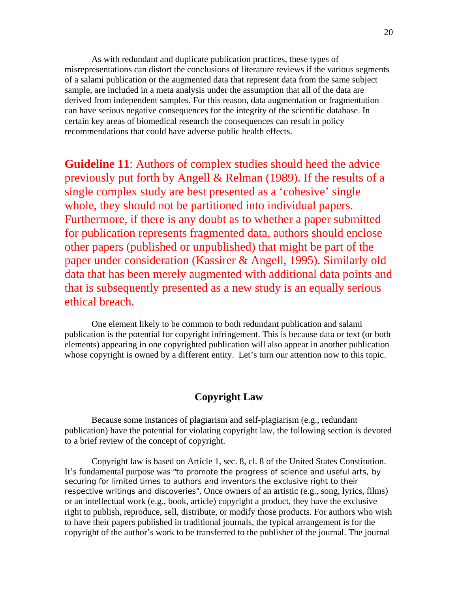As with redundant and duplicate publication practices, these types of misrepresentations can distort the conclusions of literature reviews if the various segments of a salami publication or the augmented data that represent data from the same subject sample, are included in a meta analysis under the assumption that all of the data are derived from independent samples. For this reason, data augmentation or fragmentation can have serious negative consequences for the integrity of the scientific database. In certain key areas of biomedical research the consequences can result in policy recommendations that could have adverse public health effects.

**Guideline 11**: Authors of complex studies should heed the advice previously put forth by Angell & Relman (1989). If the results of a single complex study are best presented as a 'cohesive' single whole, they should not be partitioned into individual papers. Furthermore, if there is any doubt as to whether a paper submitted for publication represents fragmented data, authors should enclose other papers (published or unpublished) that might be part of the paper under consideration (Kassirer & Angell, 1995). Similarly old data that has been merely augmented with additional data points and that is subsequently presented as a new study is an equally serious ethical breach.

 One element likely to be common to both redundant publication and salami publication is the potential for copyright infringement. This is because data or text (or both elements) appearing in one copyrighted publication will also appear in another publication whose copyright is owned by a different entity. Let's turn our attention now to this topic.

# **Copyright Law**

 Because some instances of plagiarism and self-plagiarism (e.g., redundant publication) have the potential for violating copyright law, the following section is devoted to a brief review of the concept of copyright.

 Copyright law is based on Article 1, sec. 8, cl. 8 of the United States Constitution. It's fundamental purpose was "to promote the progress of science and useful arts, by securing for limited times to authors and inventors the exclusive right to their respective writings and discoveries". Once owners of an artistic (e.g., song, lyrics, films) or an intellectual work (e.g., book, article) copyright a product, they have the exclusive right to publish, reproduce, sell, distribute, or modify those products. For authors who wish to have their papers published in traditional journals, the typical arrangement is for the copyright of the author's work to be transferred to the publisher of the journal. The journal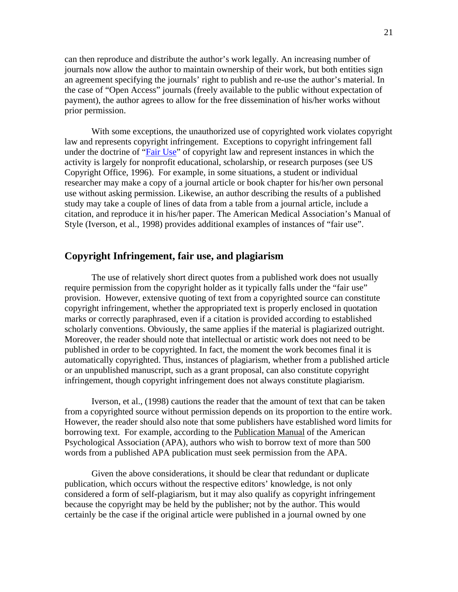can then reproduce and distribute the author's work legally. An increasing number of journals now allow the author to maintain ownership of their work, but both entities sign an agreement specifying the journals' right to publish and re-use the author's material. In the case of "Open Access" journals (freely available to the public without expectation of payment), the author agrees to allow for the free dissemination of his/her works without prior permission.

 With some exceptions, the unauthorized use of copyrighted work violates copyright law and represents copyright infringement. Exceptions to copyright infringement fall under the doctrine of "Fair Use" of copyright law and represent instances in which the activity is largely for nonprofit educational, scholarship, or research purposes (see US Copyright Office, 1996). For example, in some situations, a student or individual researcher may make a copy of a journal article or book chapter for his/her own personal use without asking permission. Likewise, an author describing the results of a published study may take a couple of lines of data from a table from a journal article, include a citation, and reproduce it in his/her paper. The American Medical Association's Manual of Style (Iverson, et al., 1998) provides additional examples of instances of "fair use".

## **Copyright Infringement, fair use, and plagiarism**

 The use of relatively short direct quotes from a published work does not usually require permission from the copyright holder as it typically falls under the "fair use" provision. However, extensive quoting of text from a copyrighted source can constitute copyright infringement, whether the appropriated text is properly enclosed in quotation marks or correctly paraphrased, even if a citation is provided according to established scholarly conventions. Obviously, the same applies if the material is plagiarized outright. Moreover, the reader should note that intellectual or artistic work does not need to be published in order to be copyrighted. In fact, the moment the work becomes final it is automatically copyrighted. Thus, instances of plagiarism, whether from a published article or an unpublished manuscript, such as a grant proposal, can also constitute copyright infringement, though copyright infringement does not always constitute plagiarism.

Iverson, et al., (1998) cautions the reader that the amount of text that can be taken from a copyrighted source without permission depends on its proportion to the entire work. However, the reader should also note that some publishers have established word limits for borrowing text. For example, according to the Publication Manual of the American Psychological Association (APA), authors who wish to borrow text of more than 500 words from a published APA publication must seek permission from the APA.

Given the above considerations, it should be clear that redundant or duplicate publication, which occurs without the respective editors' knowledge, is not only considered a form of self-plagiarism, but it may also qualify as copyright infringement because the copyright may be held by the publisher; not by the author. This would certainly be the case if the original article were published in a journal owned by one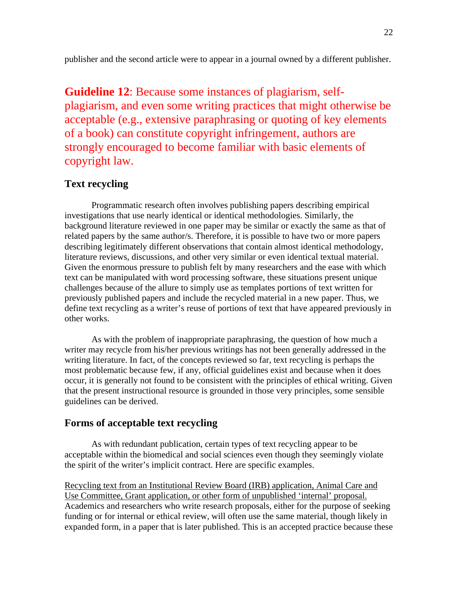publisher and the second article were to appear in a journal owned by a different publisher.

**Guideline 12**: Because some instances of plagiarism, selfplagiarism, and even some writing practices that might otherwise be acceptable (e.g., extensive paraphrasing or quoting of key elements of a book) can constitute copyright infringement, authors are strongly encouraged to become familiar with basic elements of copyright law.

# **Text recycling**

Programmatic research often involves publishing papers describing empirical investigations that use nearly identical or identical methodologies. Similarly, the background literature reviewed in one paper may be similar or exactly the same as that of related papers by the same author/s. Therefore, it is possible to have two or more papers describing legitimately different observations that contain almost identical methodology, literature reviews, discussions, and other very similar or even identical textual material. Given the enormous pressure to publish felt by many researchers and the ease with which text can be manipulated with word processing software, these situations present unique challenges because of the allure to simply use as templates portions of text written for previously published papers and include the recycled material in a new paper. Thus, we define text recycling as a writer's reuse of portions of text that have appeared previously in other works.

As with the problem of inappropriate paraphrasing, the question of how much a writer may recycle from his/her previous writings has not been generally addressed in the writing literature. In fact, of the concepts reviewed so far, text recycling is perhaps the most problematic because few, if any, official guidelines exist and because when it does occur, it is generally not found to be consistent with the principles of ethical writing. Given that the present instructional resource is grounded in those very principles, some sensible guidelines can be derived.

# **Forms of acceptable text recycling**

As with redundant publication, certain types of text recycling appear to be acceptable within the biomedical and social sciences even though they seemingly violate the spirit of the writer's implicit contract. Here are specific examples.

Recycling text from an Institutional Review Board (IRB) application, Animal Care and Use Committee, Grant application, or other form of unpublished 'internal' proposal. Academics and researchers who write research proposals, either for the purpose of seeking funding or for internal or ethical review, will often use the same material, though likely in expanded form, in a paper that is later published. This is an accepted practice because these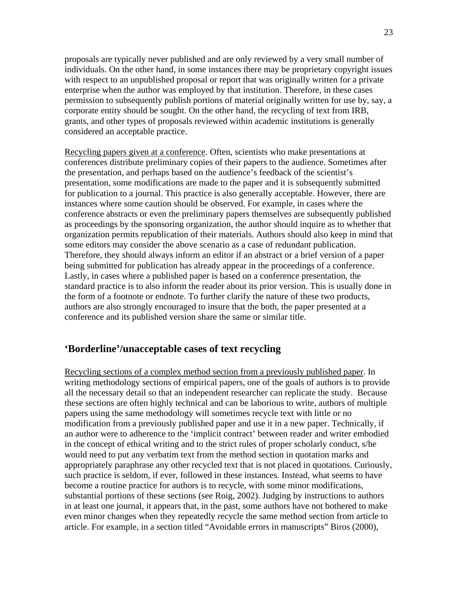proposals are typically never published and are only reviewed by a very small number of individuals. On the other hand, in some instances there may be proprietary copyright issues with respect to an unpublished proposal or report that was originally written for a private enterprise when the author was employed by that institution. Therefore, in these cases permission to subsequently publish portions of material originally written for use by, say, a corporate entity should be sought. On the other hand, the recycling of text from IRB, grants, and other types of proposals reviewed within academic institutions is generally considered an acceptable practice.

Recycling papers given at a conference. Often, scientists who make presentations at conferences distribute preliminary copies of their papers to the audience. Sometimes after the presentation, and perhaps based on the audience's feedback of the scientist's presentation, some modifications are made to the paper and it is subsequently submitted for publication to a journal. This practice is also generally acceptable. However, there are instances where some caution should be observed. For example, in cases where the conference abstracts or even the preliminary papers themselves are subsequently published as proceedings by the sponsoring organization, the author should inquire as to whether that organization permits republication of their materials. Authors should also keep in mind that some editors may consider the above scenario as a case of redundant publication. Therefore, they should always inform an editor if an abstract or a brief version of a paper being submitted for publication has already appear in the proceedings of a conference. Lastly, in cases where a published paper is based on a conference presentation, the standard practice is to also inform the reader about its prior version. This is usually done in the form of a footnote or endnote. To further clarify the nature of these two products, authors are also strongly encouraged to insure that the both, the paper presented at a conference and its published version share the same or similar title.

## **'Borderline'/unacceptable cases of text recycling**

Recycling sections of a complex method section from a previously published paper. In writing methodology sections of empirical papers, one of the goals of authors is to provide all the necessary detail so that an independent researcher can replicate the study. Because these sections are often highly technical and can be laborious to write, authors of multiple papers using the same methodology will sometimes recycle text with little or no modification from a previously published paper and use it in a new paper. Technically, if an author were to adherence to the 'implicit contract' between reader and writer embodied in the concept of ethical writing and to the strict rules of proper scholarly conduct, s/he would need to put any verbatim text from the method section in quotation marks and appropriately paraphrase any other recycled text that is not placed in quotations. Curiously, such practice is seldom, if ever, followed in these instances. Instead, what seems to have become a routine practice for authors is to recycle, with some minor modifications, substantial portions of these sections (see Roig, 2002). Judging by instructions to authors in at least one journal, it appears that, in the past, some authors have not bothered to make even minor changes when they repeatedly recycle the same method section from article to article. For example, in a section titled "Avoidable errors in manuscripts" Biros (2000),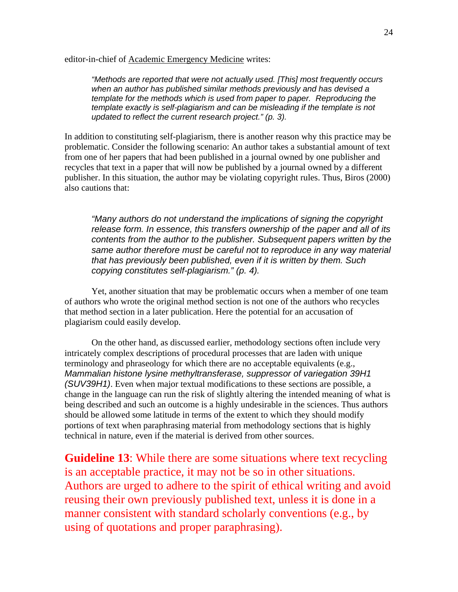editor-in-chief of Academic Emergency Medicine writes:

*"Methods are reported that were not actually used. [This] most frequently occurs when an author has published similar methods previously and has devised a template for the methods which is used from paper to paper. Reproducing the template exactly is self-plagiarism and can be misleading if the template is not updated to reflect the current research project." (p. 3).* 

In addition to constituting self-plagiarism, there is another reason why this practice may be problematic. Consider the following scenario: An author takes a substantial amount of text from one of her papers that had been published in a journal owned by one publisher and recycles that text in a paper that will now be published by a journal owned by a different publisher. In this situation, the author may be violating copyright rules. Thus, Biros (2000) also cautions that:

*"Many authors do not understand the implications of signing the copyright release form. In essence, this transfers ownership of the paper and all of its contents from the author to the publisher. Subsequent papers written by the same author therefore must be careful not to reproduce in any way material that has previously been published, even if it is written by them. Such copying constitutes self-plagiarism." (p. 4).*

Yet, another situation that may be problematic occurs when a member of one team of authors who wrote the original method section is not one of the authors who recycles that method section in a later publication. Here the potential for an accusation of plagiarism could easily develop.

On the other hand, as discussed earlier, methodology sections often include very intricately complex descriptions of procedural processes that are laden with unique terminology and phraseology for which there are no acceptable equivalents (e.g., *Mammalian histone lysine methyltransferase, suppressor of variegation 39H1 (SUV39H1)*. Even when major textual modifications to these sections are possible, a change in the language can run the risk of slightly altering the intended meaning of what is being described and such an outcome is a highly undesirable in the sciences. Thus authors should be allowed some latitude in terms of the extent to which they should modify portions of text when paraphrasing material from methodology sections that is highly technical in nature, even if the material is derived from other sources.

**Guideline 13**: While there are some situations where text recycling is an acceptable practice, it may not be so in other situations. Authors are urged to adhere to the spirit of ethical writing and avoid reusing their own previously published text, unless it is done in a manner consistent with standard scholarly conventions (e.g., by using of quotations and proper paraphrasing).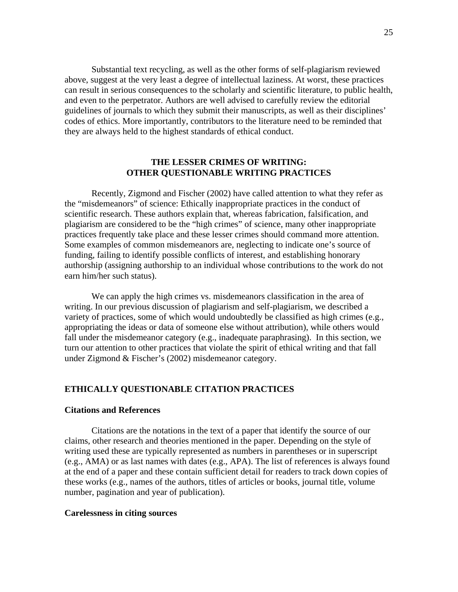Substantial text recycling, as well as the other forms of self-plagiarism reviewed above, suggest at the very least a degree of intellectual laziness. At worst, these practices can result in serious consequences to the scholarly and scientific literature, to public health, and even to the perpetrator. Authors are well advised to carefully review the editorial guidelines of journals to which they submit their manuscripts, as well as their disciplines' codes of ethics. More importantly, contributors to the literature need to be reminded that they are always held to the highest standards of ethical conduct.

#### **THE LESSER CRIMES OF WRITING: OTHER QUESTIONABLE WRITING PRACTICES**

Recently, Zigmond and Fischer (2002) have called attention to what they refer as the "misdemeanors" of science: Ethically inappropriate practices in the conduct of scientific research. These authors explain that, whereas fabrication, falsification, and plagiarism are considered to be the "high crimes" of science, many other inappropriate practices frequently take place and these lesser crimes should command more attention. Some examples of common misdemeanors are, neglecting to indicate one's source of funding, failing to identify possible conflicts of interest, and establishing honorary authorship (assigning authorship to an individual whose contributions to the work do not earn him/her such status).

We can apply the high crimes vs. misdemeanors classification in the area of writing. In our previous discussion of plagiarism and self-plagiarism, we described a variety of practices, some of which would undoubtedly be classified as high crimes (e.g., appropriating the ideas or data of someone else without attribution), while others would fall under the misdemeanor category (e.g., inadequate paraphrasing). In this section, we turn our attention to other practices that violate the spirit of ethical writing and that fall under Zigmond & Fischer's (2002) misdemeanor category.

#### **ETHICALLY QUESTIONABLE CITATION PRACTICES**

#### **Citations and References**

 Citations are the notations in the text of a paper that identify the source of our claims, other research and theories mentioned in the paper. Depending on the style of writing used these are typically represented as numbers in parentheses or in superscript (e.g., AMA) or as last names with dates (e.g., APA). The list of references is always found at the end of a paper and these contain sufficient detail for readers to track down copies of these works (e.g., names of the authors, titles of articles or books, journal title, volume number, pagination and year of publication).

#### **Carelessness in citing sources**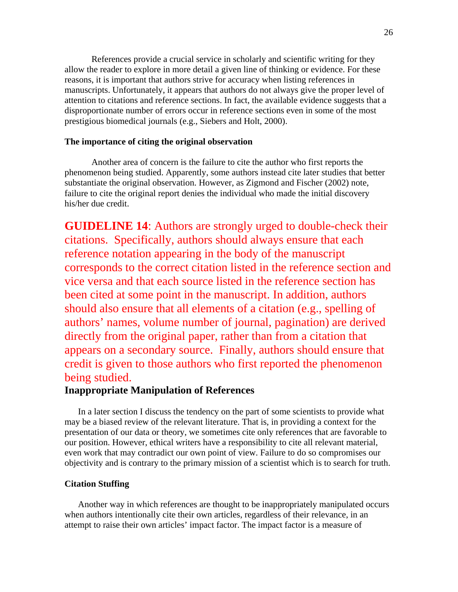References provide a crucial service in scholarly and scientific writing for they allow the reader to explore in more detail a given line of thinking or evidence. For these reasons, it is important that authors strive for accuracy when listing references in manuscripts. Unfortunately, it appears that authors do not always give the proper level of attention to citations and reference sections. In fact, the available evidence suggests that a disproportionate number of errors occur in reference sections even in some of the most prestigious biomedical journals (e.g., Siebers and Holt, 2000).

#### **The importance of citing the original observation**

 Another area of concern is the failure to cite the author who first reports the phenomenon being studied. Apparently, some authors instead cite later studies that better substantiate the original observation. However, as Zigmond and Fischer (2002) note, failure to cite the original report denies the individual who made the initial discovery his/her due credit.

**GUIDELINE 14**: Authors are strongly urged to double-check their citations. Specifically, authors should always ensure that each reference notation appearing in the body of the manuscript corresponds to the correct citation listed in the reference section and vice versa and that each source listed in the reference section has been cited at some point in the manuscript. In addition, authors should also ensure that all elements of a citation (e.g., spelling of authors' names, volume number of journal, pagination) are derived directly from the original paper, rather than from a citation that appears on a secondary source. Finally, authors should ensure that credit is given to those authors who first reported the phenomenon being studied.

## **Inappropriate Manipulation of References**

In a later section I discuss the tendency on the part of some scientists to provide what may be a biased review of the relevant literature. That is, in providing a context for the presentation of our data or theory, we sometimes cite only references that are favorable to our position. However, ethical writers have a responsibility to cite all relevant material, even work that may contradict our own point of view. Failure to do so compromises our objectivity and is contrary to the primary mission of a scientist which is to search for truth.

#### **Citation Stuffing**

Another way in which references are thought to be inappropriately manipulated occurs when authors intentionally cite their own articles, regardless of their relevance, in an attempt to raise their own articles' impact factor. The impact factor is a measure of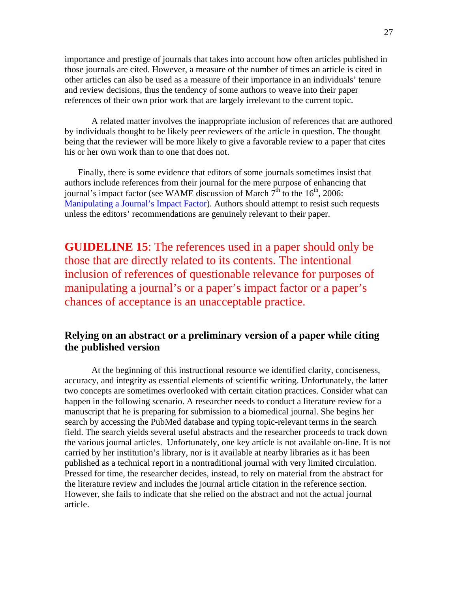importance and prestige of journals that takes into account how often articles published in those journals are cited. However, a measure of the number of times an article is cited in other articles can also be used as a measure of their importance in an individuals' tenure and review decisions, thus the tendency of some authors to weave into their paper references of their own prior work that are largely irrelevant to the current topic.

A related matter involves the inappropriate inclusion of references that are authored by individuals thought to be likely peer reviewers of the article in question. The thought being that the reviewer will be more likely to give a favorable review to a paper that cites his or her own work than to one that does not.

Finally, there is some evidence that editors of some journals sometimes insist that authors include references from their journal for the mere purpose of enhancing that journal's impact factor (see WAME discussion of March  $7<sup>th</sup>$  to the 16<sup>th</sup>, 2006: Manipulating a Journal's Impact Factor). Authors should attempt to resist such requests unless the editors' recommendations are genuinely relevant to their paper.

**GUIDELINE 15**: The references used in a paper should only be those that are directly related to its contents. The intentional inclusion of references of questionable relevance for purposes of manipulating a journal's or a paper's impact factor or a paper's chances of acceptance is an unacceptable practice.

# **Relying on an abstract or a preliminary version of a paper while citing the published version**

 At the beginning of this instructional resource we identified clarity, conciseness, accuracy, and integrity as essential elements of scientific writing. Unfortunately, the latter two concepts are sometimes overlooked with certain citation practices. Consider what can happen in the following scenario. A researcher needs to conduct a literature review for a manuscript that he is preparing for submission to a biomedical journal. She begins her search by accessing the PubMed database and typing topic-relevant terms in the search field. The search yields several useful abstracts and the researcher proceeds to track down the various journal articles. Unfortunately, one key article is not available on-line. It is not carried by her institution's library, nor is it available at nearby libraries as it has been published as a technical report in a nontraditional journal with very limited circulation. Pressed for time, the researcher decides, instead, to rely on material from the abstract for the literature review and includes the journal article citation in the reference section. However, she fails to indicate that she relied on the abstract and not the actual journal article.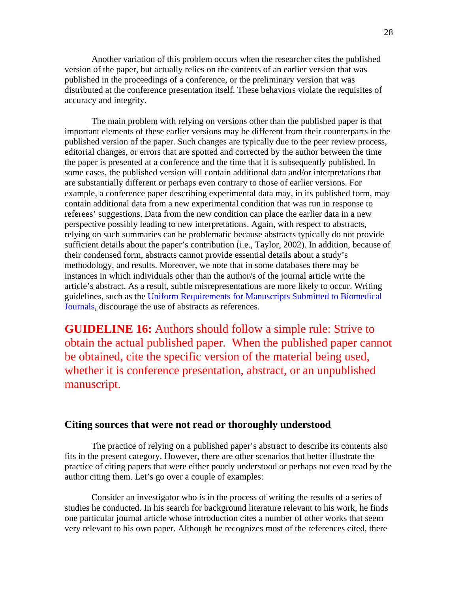Another variation of this problem occurs when the researcher cites the published version of the paper, but actually relies on the contents of an earlier version that was published in the proceedings of a conference, or the preliminary version that was distributed at the conference presentation itself. These behaviors violate the requisites of accuracy and integrity.

The main problem with relying on versions other than the published paper is that important elements of these earlier versions may be different from their counterparts in the published version of the paper. Such changes are typically due to the peer review process, editorial changes, or errors that are spotted and corrected by the author between the time the paper is presented at a conference and the time that it is subsequently published. In some cases, the published version will contain additional data and/or interpretations that are substantially different or perhaps even contrary to those of earlier versions. For example, a conference paper describing experimental data may, in its published form, may contain additional data from a new experimental condition that was run in response to referees' suggestions. Data from the new condition can place the earlier data in a new perspective possibly leading to new interpretations. Again, with respect to abstracts, relying on such summaries can be problematic because abstracts typically do not provide sufficient details about the paper's contribution (i.e., Taylor, 2002). In addition, because of their condensed form, abstracts cannot provide essential details about a study's methodology, and results. Moreover, we note that in some databases there may be instances in which individuals other than the author/s of the journal article write the article's abstract. As a result, subtle misrepresentations are more likely to occur. Writing guidelines, such as the Uniform Requirements for Manuscripts Submitted to Biomedical Journals, discourage the use of abstracts as references.

**GUIDELINE 16:** Authors should follow a simple rule: Strive to obtain the actual published paper. When the published paper cannot be obtained, cite the specific version of the material being used, whether it is conference presentation, abstract, or an unpublished manuscript.

#### **Citing sources that were not read or thoroughly understood**

The practice of relying on a published paper's abstract to describe its contents also fits in the present category. However, there are other scenarios that better illustrate the practice of citing papers that were either poorly understood or perhaps not even read by the author citing them. Let's go over a couple of examples:

Consider an investigator who is in the process of writing the results of a series of studies he conducted. In his search for background literature relevant to his work, he finds one particular journal article whose introduction cites a number of other works that seem very relevant to his own paper. Although he recognizes most of the references cited, there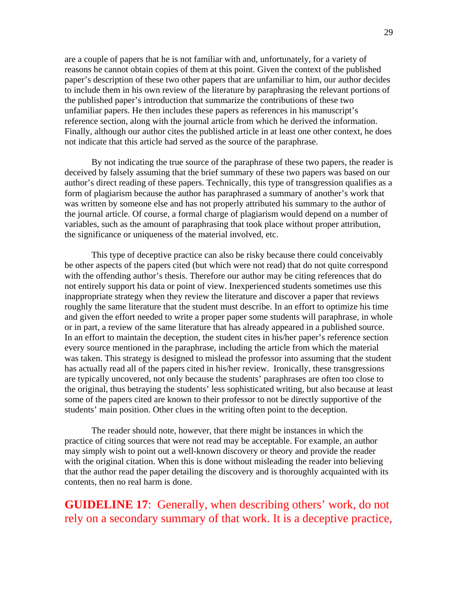are a couple of papers that he is not familiar with and, unfortunately, for a variety of reasons he cannot obtain copies of them at this point. Given the context of the published paper's description of these two other papers that are unfamiliar to him, our author decides to include them in his own review of the literature by paraphrasing the relevant portions of the published paper's introduction that summarize the contributions of these two unfamiliar papers. He then includes these papers as references in his manuscript's reference section, along with the journal article from which he derived the information. Finally, although our author cites the published article in at least one other context, he does not indicate that this article had served as the source of the paraphrase.

By not indicating the true source of the paraphrase of these two papers, the reader is deceived by falsely assuming that the brief summary of these two papers was based on our author's direct reading of these papers. Technically, this type of transgression qualifies as a form of plagiarism because the author has paraphrased a summary of another's work that was written by someone else and has not properly attributed his summary to the author of the journal article. Of course, a formal charge of plagiarism would depend on a number of variables, such as the amount of paraphrasing that took place without proper attribution, the significance or uniqueness of the material involved, etc.

This type of deceptive practice can also be risky because there could conceivably be other aspects of the papers cited (but which were not read) that do not quite correspond with the offending author's thesis. Therefore our author may be citing references that do not entirely support his data or point of view. Inexperienced students sometimes use this inappropriate strategy when they review the literature and discover a paper that reviews roughly the same literature that the student must describe. In an effort to optimize his time and given the effort needed to write a proper paper some students will paraphrase, in whole or in part, a review of the same literature that has already appeared in a published source. In an effort to maintain the deception, the student cites in his/her paper's reference section every source mentioned in the paraphrase, including the article from which the material was taken. This strategy is designed to mislead the professor into assuming that the student has actually read all of the papers cited in his/her review. Ironically, these transgressions are typically uncovered, not only because the students' paraphrases are often too close to the original, thus betraying the students' less sophisticated writing, but also because at least some of the papers cited are known to their professor to not be directly supportive of the students' main position. Other clues in the writing often point to the deception.

The reader should note, however, that there might be instances in which the practice of citing sources that were not read may be acceptable. For example, an author may simply wish to point out a well-known discovery or theory and provide the reader with the original citation. When this is done without misleading the reader into believing that the author read the paper detailing the discovery and is thoroughly acquainted with its contents, then no real harm is done.

**GUIDELINE 17**: Generally, when describing others' work, do not rely on a secondary summary of that work. It is a deceptive practice,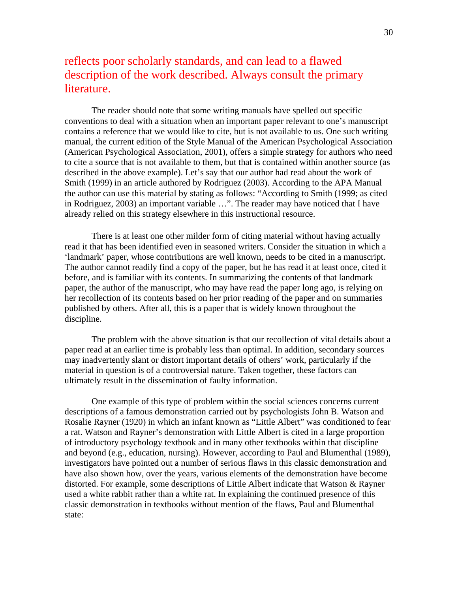# reflects poor scholarly standards, and can lead to a flawed description of the work described. Always consult the primary literature.

The reader should note that some writing manuals have spelled out specific conventions to deal with a situation when an important paper relevant to one's manuscript contains a reference that we would like to cite, but is not available to us. One such writing manual, the current edition of the Style Manual of the American Psychological Association (American Psychological Association, 2001), offers a simple strategy for authors who need to cite a source that is not available to them, but that is contained within another source (as described in the above example). Let's say that our author had read about the work of Smith (1999) in an article authored by Rodriguez (2003). According to the APA Manual the author can use this material by stating as follows: "According to Smith (1999; as cited in Rodriguez, 2003) an important variable …". The reader may have noticed that I have already relied on this strategy elsewhere in this instructional resource.

There is at least one other milder form of citing material without having actually read it that has been identified even in seasoned writers. Consider the situation in which a 'landmark' paper, whose contributions are well known, needs to be cited in a manuscript. The author cannot readily find a copy of the paper, but he has read it at least once, cited it before, and is familiar with its contents. In summarizing the contents of that landmark paper, the author of the manuscript, who may have read the paper long ago, is relying on her recollection of its contents based on her prior reading of the paper and on summaries published by others. After all, this is a paper that is widely known throughout the discipline.

The problem with the above situation is that our recollection of vital details about a paper read at an earlier time is probably less than optimal. In addition, secondary sources may inadvertently slant or distort important details of others' work, particularly if the material in question is of a controversial nature. Taken together, these factors can ultimately result in the dissemination of faulty information.

One example of this type of problem within the social sciences concerns current descriptions of a famous demonstration carried out by psychologists John B. Watson and Rosalie Rayner (1920) in which an infant known as "Little Albert" was conditioned to fear a rat. Watson and Rayner's demonstration with Little Albert is cited in a large proportion of introductory psychology textbook and in many other textbooks within that discipline and beyond (e.g., education, nursing). However, according to Paul and Blumenthal (1989), investigators have pointed out a number of serious flaws in this classic demonstration and have also shown how, over the years, various elements of the demonstration have become distorted. For example, some descriptions of Little Albert indicate that Watson & Rayner used a white rabbit rather than a white rat. In explaining the continued presence of this classic demonstration in textbooks without mention of the flaws, Paul and Blumenthal state: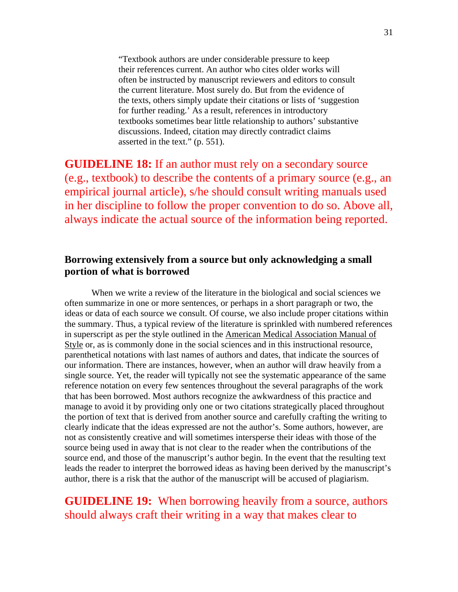"Textbook authors are under considerable pressure to keep their references current. An author who cites older works will often be instructed by manuscript reviewers and editors to consult the current literature. Most surely do. But from the evidence of the texts, others simply update their citations or lists of 'suggestion for further reading.' As a result, references in introductory textbooks sometimes bear little relationship to authors' substantive discussions. Indeed, citation may directly contradict claims asserted in the text." (p. 551).

**GUIDELINE 18:** If an author must rely on a secondary source (e.g., textbook) to describe the contents of a primary source (e.g., an empirical journal article), s/he should consult writing manuals used in her discipline to follow the proper convention to do so. Above all, always indicate the actual source of the information being reported.

# **Borrowing extensively from a source but only acknowledging a small portion of what is borrowed**

 When we write a review of the literature in the biological and social sciences we often summarize in one or more sentences, or perhaps in a short paragraph or two, the ideas or data of each source we consult. Of course, we also include proper citations within the summary. Thus, a typical review of the literature is sprinkled with numbered references in superscript as per the style outlined in the American Medical Association Manual of Style or, as is commonly done in the social sciences and in this instructional resource, parenthetical notations with last names of authors and dates, that indicate the sources of our information. There are instances, however, when an author will draw heavily from a single source. Yet, the reader will typically not see the systematic appearance of the same reference notation on every few sentences throughout the several paragraphs of the work that has been borrowed. Most authors recognize the awkwardness of this practice and manage to avoid it by providing only one or two citations strategically placed throughout the portion of text that is derived from another source and carefully crafting the writing to clearly indicate that the ideas expressed are not the author's. Some authors, however, are not as consistently creative and will sometimes intersperse their ideas with those of the source being used in away that is not clear to the reader when the contributions of the source end, and those of the manuscript's author begin. In the event that the resulting text leads the reader to interpret the borrowed ideas as having been derived by the manuscript's author, there is a risk that the author of the manuscript will be accused of plagiarism.

# **GUIDELINE 19:** When borrowing heavily from a source, authors should always craft their writing in a way that makes clear to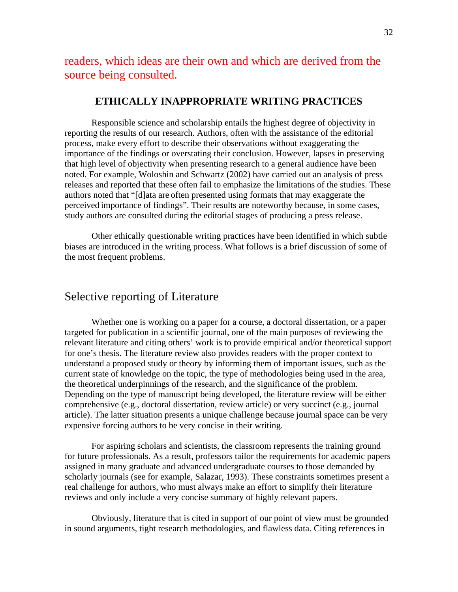readers, which ideas are their own and which are derived from the source being consulted.

### **ETHICALLY INAPPROPRIATE WRITING PRACTICES**

 Responsible science and scholarship entails the highest degree of objectivity in reporting the results of our research. Authors, often with the assistance of the editorial process, make every effort to describe their observations without exaggerating the importance of the findings or overstating their conclusion. However, lapses in preserving that high level of objectivity when presenting research to a general audience have been noted. For example, Woloshin and Schwartz (2002) have carried out an analysis of press releases and reported that these often fail to emphasize the limitations of the studies. These authors noted that "[d]ata are often presented using formats that may exaggerate the perceived importance of findings". Their results are noteworthy because, in some cases, study authors are consulted during the editorial stages of producing a press release.

 Other ethically questionable writing practices have been identified in which subtle biases are introduced in the writing process. What follows is a brief discussion of some of the most frequent problems.

# Selective reporting of Literature

Whether one is working on a paper for a course, a doctoral dissertation, or a paper targeted for publication in a scientific journal, one of the main purposes of reviewing the relevant literature and citing others' work is to provide empirical and/or theoretical support for one's thesis. The literature review also provides readers with the proper context to understand a proposed study or theory by informing them of important issues, such as the current state of knowledge on the topic, the type of methodologies being used in the area, the theoretical underpinnings of the research, and the significance of the problem. Depending on the type of manuscript being developed, the literature review will be either comprehensive (e.g., doctoral dissertation, review article) or very succinct (e.g., journal article). The latter situation presents a unique challenge because journal space can be very expensive forcing authors to be very concise in their writing.

For aspiring scholars and scientists, the classroom represents the training ground for future professionals. As a result, professors tailor the requirements for academic papers assigned in many graduate and advanced undergraduate courses to those demanded by scholarly journals (see for example, Salazar, 1993). These constraints sometimes present a real challenge for authors, who must always make an effort to simplify their literature reviews and only include a very concise summary of highly relevant papers.

Obviously, literature that is cited in support of our point of view must be grounded in sound arguments, tight research methodologies, and flawless data. Citing references in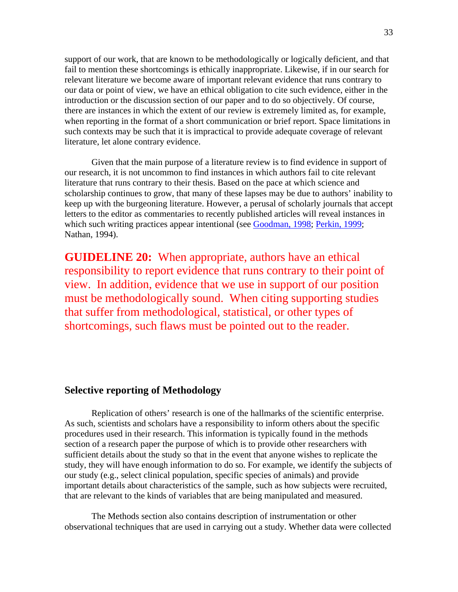support of our work, that are known to be methodologically or logically deficient, and that fail to mention these shortcomings is ethically inappropriate. Likewise, if in our search for relevant literature we become aware of important relevant evidence that runs contrary to our data or point of view, we have an ethical obligation to cite such evidence, either in the introduction or the discussion section of our paper and to do so objectively. Of course, there are instances in which the extent of our review is extremely limited as, for example, when reporting in the format of a short communication or brief report. Space limitations in such contexts may be such that it is impractical to provide adequate coverage of relevant literature, let alone contrary evidence.

Given that the main purpose of a literature review is to find evidence in support of our research, it is not uncommon to find instances in which authors fail to cite relevant literature that runs contrary to their thesis. Based on the pace at which science and scholarship continues to grow, that many of these lapses may be due to authors' inability to keep up with the burgeoning literature. However, a perusal of scholarly journals that accept letters to the editor as commentaries to recently published articles will reveal instances in which such writing practices appear intentional (see Goodman, 1998; Perkin, 1999; Nathan, 1994).

**GUIDELINE 20:** When appropriate, authors have an ethical responsibility to report evidence that runs contrary to their point of view. In addition, evidence that we use in support of our position must be methodologically sound. When citing supporting studies that suffer from methodological, statistical, or other types of shortcomings, such flaws must be pointed out to the reader.

# **Selective reporting of Methodology**

 Replication of others' research is one of the hallmarks of the scientific enterprise. As such, scientists and scholars have a responsibility to inform others about the specific procedures used in their research. This information is typically found in the methods section of a research paper the purpose of which is to provide other researchers with sufficient details about the study so that in the event that anyone wishes to replicate the study, they will have enough information to do so. For example, we identify the subjects of our study (e.g., select clinical population, specific species of animals) and provide important details about characteristics of the sample, such as how subjects were recruited, that are relevant to the kinds of variables that are being manipulated and measured.

The Methods section also contains description of instrumentation or other observational techniques that are used in carrying out a study. Whether data were collected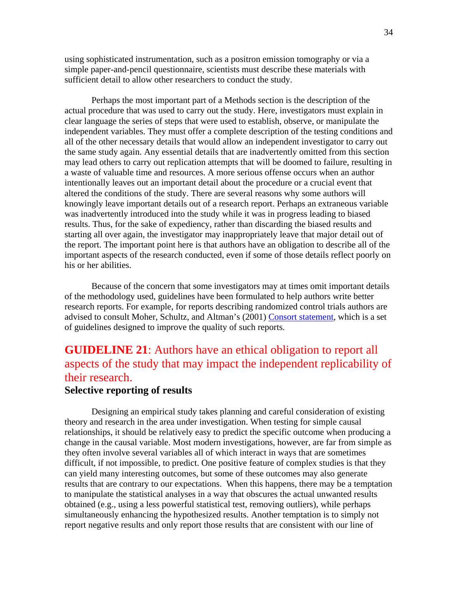using sophisticated instrumentation, such as a positron emission tomography or via a simple paper-and-pencil questionnaire, scientists must describe these materials with sufficient detail to allow other researchers to conduct the study.

Perhaps the most important part of a Methods section is the description of the actual procedure that was used to carry out the study. Here, investigators must explain in clear language the series of steps that were used to establish, observe, or manipulate the independent variables. They must offer a complete description of the testing conditions and all of the other necessary details that would allow an independent investigator to carry out the same study again. Any essential details that are inadvertently omitted from this section may lead others to carry out replication attempts that will be doomed to failure, resulting in a waste of valuable time and resources. A more serious offense occurs when an author intentionally leaves out an important detail about the procedure or a crucial event that altered the conditions of the study. There are several reasons why some authors will knowingly leave important details out of a research report. Perhaps an extraneous variable was inadvertently introduced into the study while it was in progress leading to biased results. Thus, for the sake of expediency, rather than discarding the biased results and starting all over again, the investigator may inappropriately leave that major detail out of the report. The important point here is that authors have an obligation to describe all of the important aspects of the research conducted, even if some of those details reflect poorly on his or her abilities.

Because of the concern that some investigators may at times omit important details of the methodology used, guidelines have been formulated to help authors write better research reports. For example, for reports describing randomized control trials authors are advised to consult Moher, Schultz, and Altman's (2001) Consort statement, which is a set of guidelines designed to improve the quality of such reports.

# **GUIDELINE 21**: Authors have an ethical obligation to report all aspects of the study that may impact the independent replicability of their research.

#### **Selective reporting of results**

 Designing an empirical study takes planning and careful consideration of existing theory and research in the area under investigation. When testing for simple causal relationships, it should be relatively easy to predict the specific outcome when producing a change in the causal variable. Most modern investigations, however, are far from simple as they often involve several variables all of which interact in ways that are sometimes difficult, if not impossible, to predict. One positive feature of complex studies is that they can yield many interesting outcomes, but some of these outcomes may also generate results that are contrary to our expectations. When this happens, there may be a temptation to manipulate the statistical analyses in a way that obscures the actual unwanted results obtained (e.g., using a less powerful statistical test, removing outliers), while perhaps simultaneously enhancing the hypothesized results. Another temptation is to simply not report negative results and only report those results that are consistent with our line of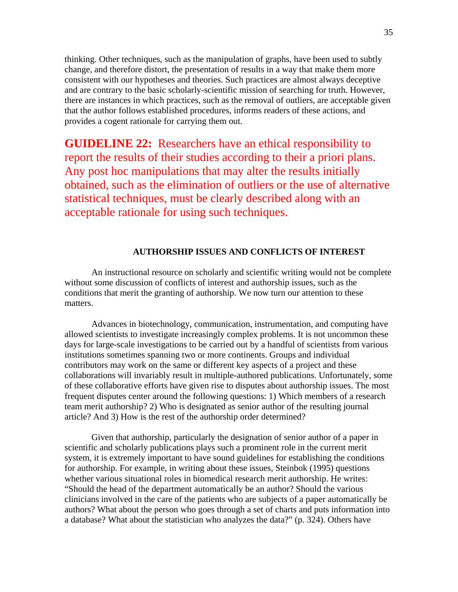thinking. Other techniques, such as the manipulation of graphs, have been used to subtly change, and therefore distort, the presentation of results in a way that make them more consistent with our hypotheses and theories. Such practices are almost always deceptive and are contrary to the basic scholarly-scientific mission of searching for truth. However, there are instances in which practices, such as the removal of outliers, are acceptable given that the author follows established procedures, informs readers of these actions, and provides a cogent rationale for carrying them out.

**GUIDELINE 22:** Researchers have an ethical responsibility to report the results of their studies according to their a priori plans. Any post hoc manipulations that may alter the results initially obtained, such as the elimination of outliers or the use of alternative statistical techniques, must be clearly described along with an acceptable rationale for using such techniques.

## **AUTHORSHIP ISSUES AND CONFLICTS OF INTEREST**

An instructional resource on scholarly and scientific writing would not be complete without some discussion of conflicts of interest and authorship issues, such as the conditions that merit the granting of authorship. We now turn our attention to these matters.

 Advances in biotechnology, communication, instrumentation, and computing have allowed scientists to investigate increasingly complex problems. It is not uncommon these days for large-scale investigations to be carried out by a handful of scientists from various institutions sometimes spanning two or more continents. Groups and individual contributors may work on the same or different key aspects of a project and these collaborations will invariably result in multiple-authored publications. Unfortunately, some of these collaborative efforts have given rise to disputes about authorship issues. The most frequent disputes center around the following questions: 1) Which members of a research team merit authorship? 2) Who is designated as senior author of the resulting journal article? And 3) How is the rest of the authorship order determined?

Given that authorship, particularly the designation of senior author of a paper in scientific and scholarly publications plays such a prominent role in the current merit system, it is extremely important to have sound guidelines for establishing the conditions for authorship. For example, in writing about these issues, Steinbok (1995) questions whether various situational roles in biomedical research merit authorship. He writes: "Should the head of the department automatically be an author? Should the various clinicians involved in the care of the patients who are subjects of a paper automatically be authors? What about the person who goes through a set of charts and puts information into a database? What about the statistician who analyzes the data?" (p. 324). Others have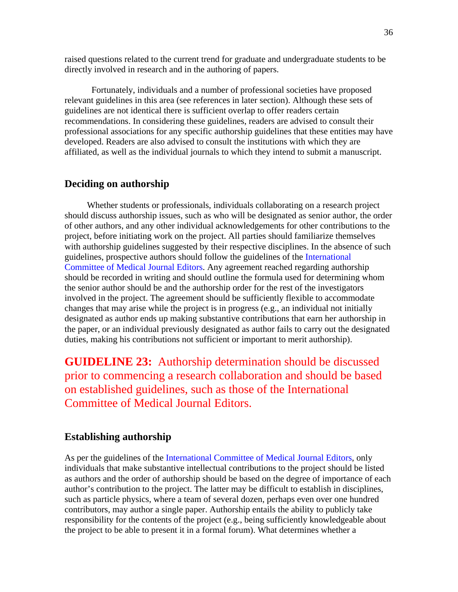raised questions related to the current trend for graduate and undergraduate students to be directly involved in research and in the authoring of papers.

 Fortunately, individuals and a number of professional societies have proposed relevant guidelines in this area (see references in later section). Although these sets of guidelines are not identical there is sufficient overlap to offer readers certain recommendations. In considering these guidelines, readers are advised to consult their professional associations for any specific authorship guidelines that these entities may have developed. Readers are also advised to consult the institutions with which they are affiliated, as well as the individual journals to which they intend to submit a manuscript.

## **Deciding on authorship**

 Whether students or professionals, individuals collaborating on a research project should discuss authorship issues, such as who will be designated as senior author, the order of other authors, and any other individual acknowledgements for other contributions to the project, before initiating work on the project. All parties should familiarize themselves with authorship guidelines suggested by their respective disciplines. In the absence of such guidelines, prospective authors should follow the guidelines of the International Committee of Medical Journal Editors. Any agreement reached regarding authorship should be recorded in writing and should outline the formula used for determining whom the senior author should be and the authorship order for the rest of the investigators involved in the project. The agreement should be sufficiently flexible to accommodate changes that may arise while the project is in progress (e.g., an individual not initially designated as author ends up making substantive contributions that earn her authorship in the paper, or an individual previously designated as author fails to carry out the designated duties, making his contributions not sufficient or important to merit authorship).

**GUIDELINE 23:** Authorship determination should be discussed prior to commencing a research collaboration and should be based on established guidelines, such as those of the International Committee of Medical Journal Editors.

## **Establishing authorship**

As per the guidelines of the International Committee of Medical Journal Editors, only individuals that make substantive intellectual contributions to the project should be listed as authors and the order of authorship should be based on the degree of importance of each author's contribution to the project. The latter may be difficult to establish in disciplines, such as particle physics, where a team of several dozen, perhaps even over one hundred contributors, may author a single paper. Authorship entails the ability to publicly take responsibility for the contents of the project (e.g., being sufficiently knowledgeable about the project to be able to present it in a formal forum). What determines whether a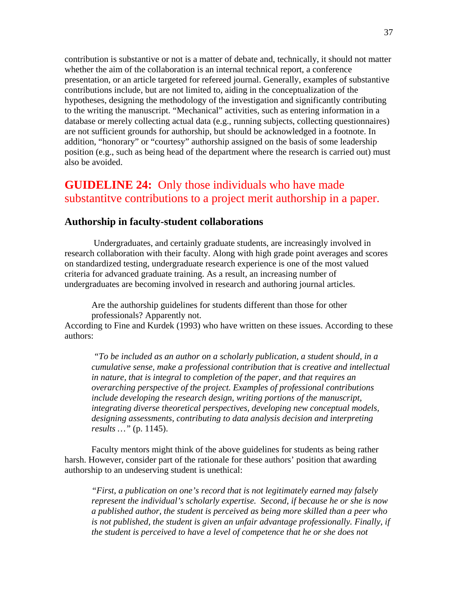contribution is substantive or not is a matter of debate and, technically, it should not matter whether the aim of the collaboration is an internal technical report, a conference presentation, or an article targeted for refereed journal. Generally, examples of substantive contributions include, but are not limited to, aiding in the conceptualization of the hypotheses, designing the methodology of the investigation and significantly contributing to the writing the manuscript. "Mechanical" activities, such as entering information in a database or merely collecting actual data (e.g., running subjects, collecting questionnaires) are not sufficient grounds for authorship, but should be acknowledged in a footnote. In addition, "honorary" or "courtesy" authorship assigned on the basis of some leadership position (e.g., such as being head of the department where the research is carried out) must also be avoided.

# **GUIDELINE 24:** Only those individuals who have made substantitve contributions to a project merit authorship in a paper.

## **Authorship in faculty-student collaborations**

 Undergraduates, and certainly graduate students, are increasingly involved in research collaboration with their faculty. Along with high grade point averages and scores on standardized testing, undergraduate research experience is one of the most valued criteria for advanced graduate training. As a result, an increasing number of undergraduates are becoming involved in research and authoring journal articles.

Are the authorship guidelines for students different than those for other professionals? Apparently not.

According to Fine and Kurdek (1993) who have written on these issues. According to these authors:

*"To be included as an author on a scholarly publication, a student should, in a cumulative sense, make a professional contribution that is creative and intellectual in nature, that is integral to completion of the paper, and that requires an overarching perspective of the project. Examples of professional contributions include developing the research design, writing portions of the manuscript, integrating diverse theoretical perspectives, developing new conceptual models, designing assessments, contributing to data analysis decision and interpreting results …"* (p. 1145).

Faculty mentors might think of the above guidelines for students as being rather harsh. However, consider part of the rationale for these authors' position that awarding authorship to an undeserving student is unethical:

*"First, a publication on one's record that is not legitimately earned may falsely represent the individual's scholarly expertise. Second, if because he or she is now a published author, the student is perceived as being more skilled than a peer who is not published, the student is given an unfair advantage professionally. Finally, if the student is perceived to have a level of competence that he or she does not*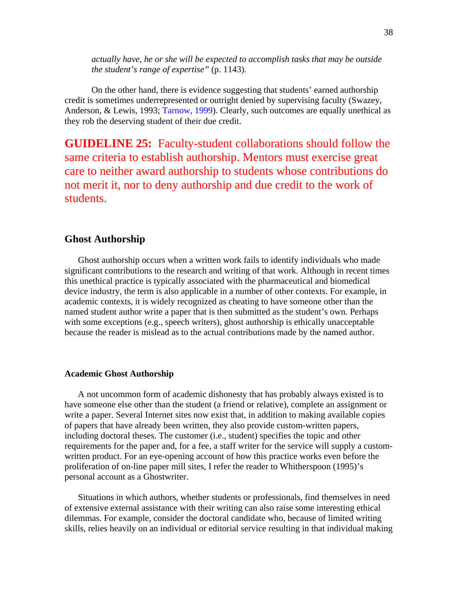*actually have, he or she will be expected to accomplish tasks that may be outside the student's range of expertise"* (p. 1143).

 On the other hand, there is evidence suggesting that students' earned authorship credit is sometimes underrepresented or outright denied by supervising faculty (Swazey, Anderson, & Lewis, 1993; Tarnow, 1999). Clearly, such outcomes are equally unethical as they rob the deserving student of their due credit.

**GUIDELINE 25:** Faculty-student collaborations should follow the same criteria to establish authorship. Mentors must exercise great care to neither award authorship to students whose contributions do not merit it, nor to deny authorship and due credit to the work of students.

# **Ghost Authorship**

Ghost authorship occurs when a written work fails to identify individuals who made significant contributions to the research and writing of that work. Although in recent times this unethical practice is typically associated with the pharmaceutical and biomedical device industry, the term is also applicable in a number of other contexts. For example, in academic contexts, it is widely recognized as cheating to have someone other than the named student author write a paper that is then submitted as the student's own. Perhaps with some exceptions (e.g., speech writers), ghost authorship is ethically unacceptable because the reader is mislead as to the actual contributions made by the named author.

#### **Academic Ghost Authorship**

A not uncommon form of academic dishonesty that has probably always existed is to have someone else other than the student (a friend or relative), complete an assignment or write a paper. Several Internet sites now exist that, in addition to making available copies of papers that have already been written, they also provide custom-written papers, including doctoral theses. The customer (i.e., student) specifies the topic and other requirements for the paper and, for a fee, a staff writer for the service will supply a customwritten product. For an eye-opening account of how this practice works even before the proliferation of on-line paper mill sites, I refer the reader to Whitherspoon (1995)'s personal account as a Ghostwriter.

Situations in which authors, whether students or professionals, find themselves in need of extensive external assistance with their writing can also raise some interesting ethical dilemmas. For example, consider the doctoral candidate who, because of limited writing skills, relies heavily on an individual or editorial service resulting in that individual making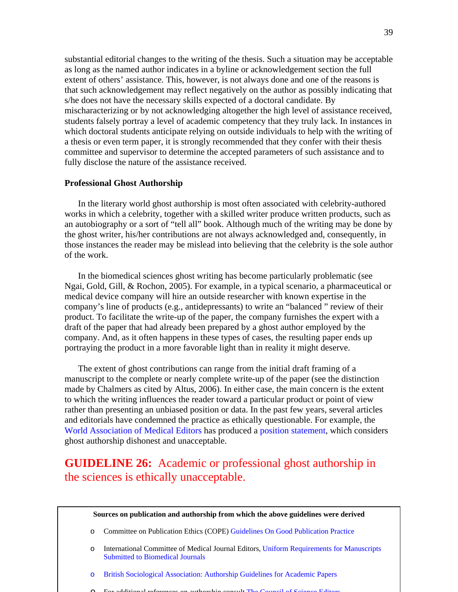substantial editorial changes to the writing of the thesis. Such a situation may be acceptable as long as the named author indicates in a byline or acknowledgement section the full extent of others' assistance. This, however, is not always done and one of the reasons is that such acknowledgement may reflect negatively on the author as possibly indicating that s/he does not have the necessary skills expected of a doctoral candidate. By mischaracterizing or by not acknowledging altogether the high level of assistance received, students falsely portray a level of academic competency that they truly lack. In instances in which doctoral students anticipate relying on outside individuals to help with the writing of a thesis or even term paper, it is strongly recommended that they confer with their thesis committee and supervisor to determine the accepted parameters of such assistance and to fully disclose the nature of the assistance received.

#### **Professional Ghost Authorship**

In the literary world ghost authorship is most often associated with celebrity-authored works in which a celebrity, together with a skilled writer produce written products, such as an autobiography or a sort of "tell all" book. Although much of the writing may be done by the ghost writer, his/her contributions are not always acknowledged and, consequently, in those instances the reader may be mislead into believing that the celebrity is the sole author of the work.

In the biomedical sciences ghost writing has become particularly problematic (see Ngai, Gold, Gill, & Rochon, 2005). For example, in a typical scenario, a pharmaceutical or medical device company will hire an outside researcher with known expertise in the company's line of products (e.g., antidepressants) to write an "balanced " review of their product. To facilitate the write-up of the paper, the company furnishes the expert with a draft of the paper that had already been prepared by a ghost author employed by the company. And, as it often happens in these types of cases, the resulting paper ends up portraying the product in a more favorable light than in reality it might deserve.

The extent of ghost contributions can range from the initial draft framing of a manuscript to the complete or nearly complete write-up of the paper (see the distinction made by Chalmers as cited by Altus, 2006). In either case, the main concern is the extent to which the writing influences the reader toward a particular product or point of view rather than presenting an unbiased position or data. In the past few years, several articles and editorials have condemned the practice as ethically questionable. For example, the World Association of Medical Editors has produced a position statement, which considers ghost authorship dishonest and unacceptable.

# **GUIDELINE 26:** Academic or professional ghost authorship in the sciences is ethically unacceptable.

#### **Sources on publication and authorship from which the above guidelines were derived**

- o Committee on Publication Ethics (COPE) Guidelines On Good Publication Practice
- o International Committee of Medical Journal Editors, Uniform Requirements for Manuscripts Submitted to Biomedical Journals
- o British Sociological Association: Authorship Guidelines for Academic Papers
- o For additional references on authorship consult The Council of Science Editors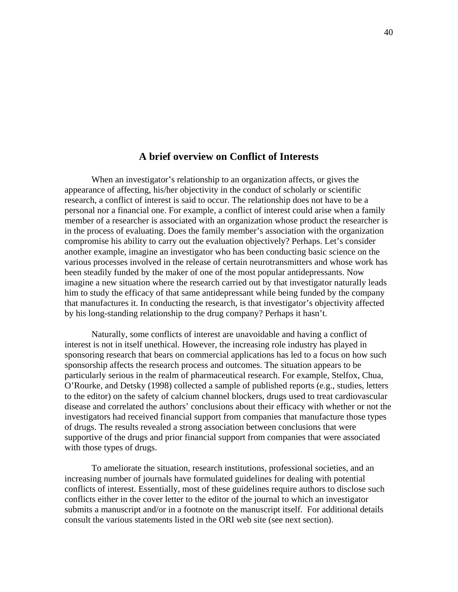## **A brief overview on Conflict of Interests**

When an investigator's relationship to an organization affects, or gives the appearance of affecting, his/her objectivity in the conduct of scholarly or scientific research, a conflict of interest is said to occur. The relationship does not have to be a personal nor a financial one. For example, a conflict of interest could arise when a family member of a researcher is associated with an organization whose product the researcher is in the process of evaluating. Does the family member's association with the organization compromise his ability to carry out the evaluation objectively? Perhaps. Let's consider another example, imagine an investigator who has been conducting basic science on the various processes involved in the release of certain neurotransmitters and whose work has been steadily funded by the maker of one of the most popular antidepressants. Now imagine a new situation where the research carried out by that investigator naturally leads him to study the efficacy of that same antidepressant while being funded by the company that manufactures it. In conducting the research, is that investigator's objectivity affected by his long-standing relationship to the drug company? Perhaps it hasn't.

Naturally, some conflicts of interest are unavoidable and having a conflict of interest is not in itself unethical. However, the increasing role industry has played in sponsoring research that bears on commercial applications has led to a focus on how such sponsorship affects the research process and outcomes. The situation appears to be particularly serious in the realm of pharmaceutical research. For example, Stelfox, Chua, O'Rourke, and Detsky (1998) collected a sample of published reports (e.g., studies, letters to the editor) on the safety of calcium channel blockers, drugs used to treat cardiovascular disease and correlated the authors' conclusions about their efficacy with whether or not the investigators had received financial support from companies that manufacture those types of drugs. The results revealed a strong association between conclusions that were supportive of the drugs and prior financial support from companies that were associated with those types of drugs.

To ameliorate the situation, research institutions, professional societies, and an increasing number of journals have formulated guidelines for dealing with potential conflicts of interest. Essentially, most of these guidelines require authors to disclose such conflicts either in the cover letter to the editor of the journal to which an investigator submits a manuscript and/or in a footnote on the manuscript itself. For additional details consult the various statements listed in the ORI web site (see next section).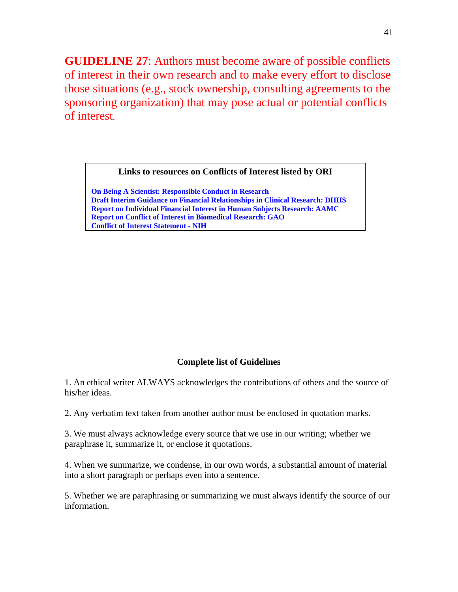**GUIDELINE 27**: Authors must become aware of possible conflicts of interest in their own research and to make every effort to disclose those situations (e.g., stock ownership, consulting agreements to the sponsoring organization) that may pose actual or potential conflicts of interest.

### **Links to resources on Conflicts of Interest listed by ORI**

**On Being A Scientist: Responsible Conduct in Research Draft Interim Guidance on Financial Relationships in Clinical Research: DHHS Report on Individual Financial Interest in Human Subjects Research: AAMC Report on Conflict of Interest in Biomedical Research: GAO Conflict of Interest Statement - NIH**

# **Complete list of Guidelines**

1. An ethical writer ALWAYS acknowledges the contributions of others and the source of his/her ideas.

2. Any verbatim text taken from another author must be enclosed in quotation marks.

3. We must always acknowledge every source that we use in our writing; whether we paraphrase it, summarize it, or enclose it quotations.

4. When we summarize, we condense, in our own words, a substantial amount of material into a short paragraph or perhaps even into a sentence.

5. Whether we are paraphrasing or summarizing we must always identify the source of our information.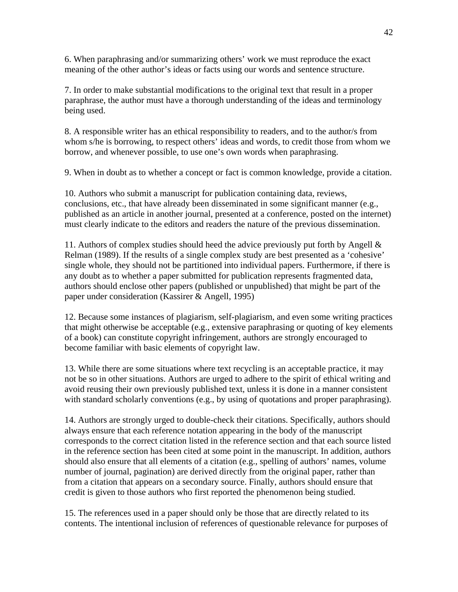6. When paraphrasing and/or summarizing others' work we must reproduce the exact meaning of the other author's ideas or facts using our words and sentence structure.

7. In order to make substantial modifications to the original text that result in a proper paraphrase, the author must have a thorough understanding of the ideas and terminology being used.

8. A responsible writer has an ethical responsibility to readers, and to the author/s from whom s/he is borrowing, to respect others' ideas and words, to credit those from whom we borrow, and whenever possible, to use one's own words when paraphrasing.

9. When in doubt as to whether a concept or fact is common knowledge, provide a citation.

10. Authors who submit a manuscript for publication containing data, reviews, conclusions, etc., that have already been disseminated in some significant manner (e.g., published as an article in another journal, presented at a conference, posted on the internet) must clearly indicate to the editors and readers the nature of the previous dissemination.

11. Authors of complex studies should heed the advice previously put forth by Angell  $\&$ Relman (1989). If the results of a single complex study are best presented as a 'cohesive' single whole, they should not be partitioned into individual papers. Furthermore, if there is any doubt as to whether a paper submitted for publication represents fragmented data, authors should enclose other papers (published or unpublished) that might be part of the paper under consideration (Kassirer & Angell, 1995)

12. Because some instances of plagiarism, self-plagiarism, and even some writing practices that might otherwise be acceptable (e.g., extensive paraphrasing or quoting of key elements of a book) can constitute copyright infringement, authors are strongly encouraged to become familiar with basic elements of copyright law.

13. While there are some situations where text recycling is an acceptable practice, it may not be so in other situations. Authors are urged to adhere to the spirit of ethical writing and avoid reusing their own previously published text, unless it is done in a manner consistent with standard scholarly conventions (e.g., by using of quotations and proper paraphrasing).

14. Authors are strongly urged to double-check their citations. Specifically, authors should always ensure that each reference notation appearing in the body of the manuscript corresponds to the correct citation listed in the reference section and that each source listed in the reference section has been cited at some point in the manuscript. In addition, authors should also ensure that all elements of a citation (e.g., spelling of authors' names, volume number of journal, pagination) are derived directly from the original paper, rather than from a citation that appears on a secondary source. Finally, authors should ensure that credit is given to those authors who first reported the phenomenon being studied.

15. The references used in a paper should only be those that are directly related to its contents. The intentional inclusion of references of questionable relevance for purposes of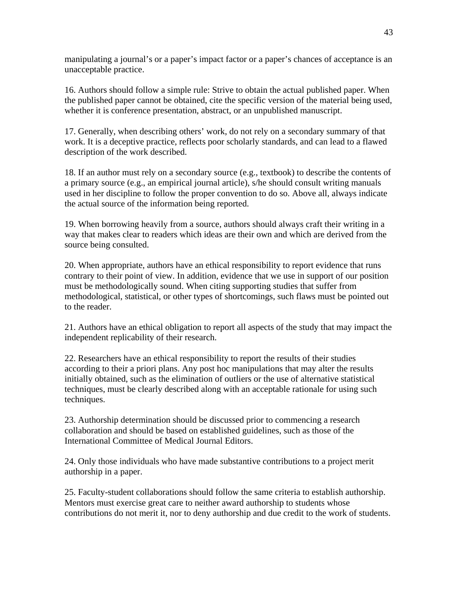manipulating a journal's or a paper's impact factor or a paper's chances of acceptance is an unacceptable practice.

16. Authors should follow a simple rule: Strive to obtain the actual published paper. When the published paper cannot be obtained, cite the specific version of the material being used, whether it is conference presentation, abstract, or an unpublished manuscript.

17. Generally, when describing others' work, do not rely on a secondary summary of that work. It is a deceptive practice, reflects poor scholarly standards, and can lead to a flawed description of the work described.

18. If an author must rely on a secondary source (e.g., textbook) to describe the contents of a primary source (e.g., an empirical journal article), s/he should consult writing manuals used in her discipline to follow the proper convention to do so. Above all, always indicate the actual source of the information being reported.

19. When borrowing heavily from a source, authors should always craft their writing in a way that makes clear to readers which ideas are their own and which are derived from the source being consulted.

20. When appropriate, authors have an ethical responsibility to report evidence that runs contrary to their point of view. In addition, evidence that we use in support of our position must be methodologically sound. When citing supporting studies that suffer from methodological, statistical, or other types of shortcomings, such flaws must be pointed out to the reader.

21. Authors have an ethical obligation to report all aspects of the study that may impact the independent replicability of their research.

22. Researchers have an ethical responsibility to report the results of their studies according to their a priori plans. Any post hoc manipulations that may alter the results initially obtained, such as the elimination of outliers or the use of alternative statistical techniques, must be clearly described along with an acceptable rationale for using such techniques.

23. Authorship determination should be discussed prior to commencing a research collaboration and should be based on established guidelines, such as those of the International Committee of Medical Journal Editors.

24. Only those individuals who have made substantive contributions to a project merit authorship in a paper.

25. Faculty-student collaborations should follow the same criteria to establish authorship. Mentors must exercise great care to neither award authorship to students whose contributions do not merit it, nor to deny authorship and due credit to the work of students.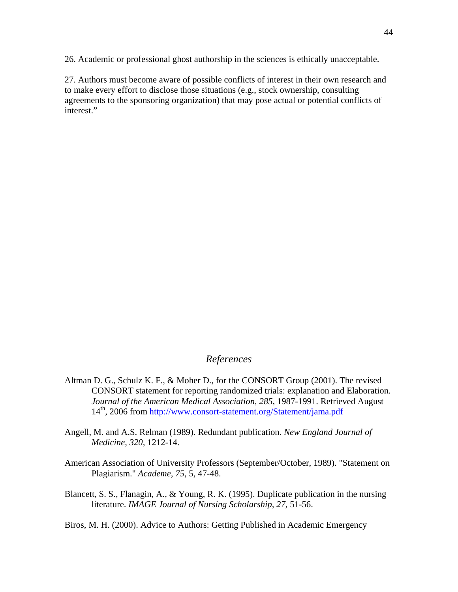26. Academic or professional ghost authorship in the sciences is ethically unacceptable.

27. Authors must become aware of possible conflicts of interest in their own research and to make every effort to disclose those situations (e.g., stock ownership, consulting agreements to the sponsoring organization) that may pose actual or potential conflicts of interest."

## *References*

- Altman D. G., Schulz K. F., & Moher D., for the CONSORT Group (2001). The revised CONSORT statement for reporting randomized trials: explanation and Elaboration. *Journal of the American Medical Association, 285,* 1987-1991. Retrieved August 14<sup>th</sup>, 2006 from http://www.consort-statement.org/Statement/jama.pdf
- Angell, M. and A.S. Relman (1989). Redundant publication. *New England Journal of Medicine, 320,* 1212-14.
- American Association of University Professors (September/October, 1989). "Statement on Plagiarism." *Academe, 75*, 5, 47-48.
- Blancett, S. S., Flanagin, A., & Young, R. K. (1995). Duplicate publication in the nursing literature. *IMAGE Journal of Nursing Scholarship, 27*, 51-56.

Biros, M. H. (2000). Advice to Authors: Getting Published in Academic Emergency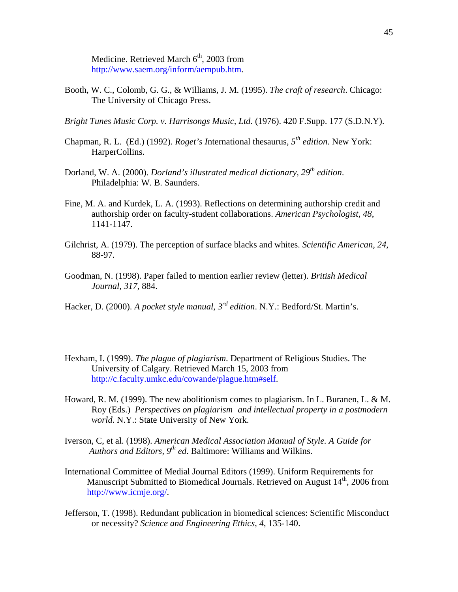Medicine. Retrieved March 6<sup>th</sup>, 2003 from http://www.saem.org/inform/aempub.htm.

- Booth, W. C., Colomb, G. G., & Williams, J. M. (1995). *The craft of research*. Chicago: The University of Chicago Press.
- *Bright Tunes Music Corp. v. Harrisongs Music, Ltd*. (1976). 420 F.Supp. 177 (S.D.N.Y).
- Chapman, R. L. (Ed.) (1992). *Roget's I*nternational thesaurus, *5th edition*. New York: HarperCollins.
- Dorland, W. A. (2000). *Dorland's illustrated medical dictionary, 29th edition*. Philadelphia: W. B. Saunders.
- Fine, M. A. and Kurdek, L. A. (1993). Reflections on determining authorship credit and authorship order on faculty-student collaborations. *American Psychologist, 48*, 1141-1147.
- Gilchrist, A. (1979). The perception of surface blacks and whites. *Scientific American, 24*, 88-97.
- Goodman, N. (1998). Paper failed to mention earlier review (letter). *British Medical Journal, 317,* 884.
- Hacker, D. (2000). *A pocket style manual, 3rd edition*. N.Y.: Bedford/St. Martin's.
- Hexham, I. (1999). *The plague of plagiarism*. Department of Religious Studies. The University of Calgary. Retrieved March 15, 2003 from http://c.faculty.umkc.edu/cowande/plague.htm#self.
- Howard, R. M. (1999). The new abolitionism comes to plagiarism. In L. Buranen, L. & M. Roy (Eds.) *Perspectives on plagiarism and intellectual property in a postmodern world*. N.Y.: State University of New York.
- Iverson, C, et al. (1998). *American Medical Association Manual of Style. A Guide for Authors and Editors, 9th ed*. Baltimore: Williams and Wilkins.
- International Committee of Medial Journal Editors (1999). Uniform Requirements for Manuscript Submitted to Biomedical Journals. Retrieved on August  $14<sup>th</sup>$ , 2006 from http://www.icmje.org/.
- Jefferson, T. (1998). Redundant publication in biomedical sciences: Scientific Misconduct or necessity? *Science and Engineering Ethics, 4*, 135-140.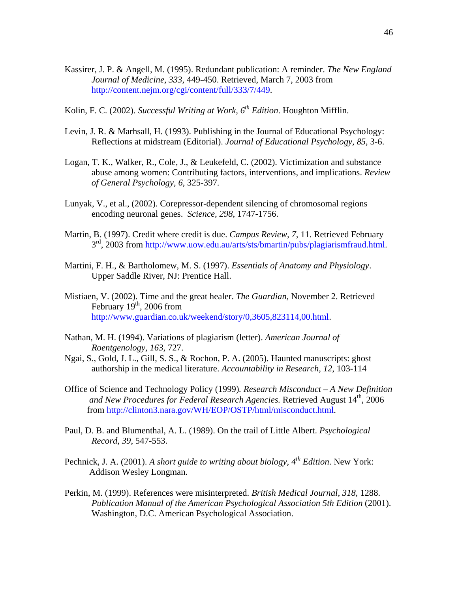- Kassirer, J. P. & Angell, M. (1995). Redundant publication: A reminder. *The New England Journal of Medicine, 333,* 449-450. Retrieved, March 7, 2003 from http://content.nejm.org/cgi/content/full/333/7/449.
- Kolin, F. C. (2002). *Successful Writing at Work, 6<sup>th</sup> Edition*. Houghton Mifflin.
- Levin, J. R. & Marhsall, H. (1993). Publishing in the Journal of Educational Psychology: Reflections at midstream (Editorial). *Journal of Educational Psychology, 85*, 3-6.
- Logan, T. K., Walker, R., Cole, J., & Leukefeld, C. (2002). Victimization and substance abuse among women: Contributing factors, interventions, and implications. *Review of General Psychology, 6*, 325-397.
- Lunyak, V., et al., (2002). Corepressor-dependent silencing of chromosomal regions encoding neuronal genes. *Science, 298*, 1747-1756.
- Martin, B. (1997). Credit where credit is due. *Campus Review, 7,* 11. Retrieved February  $3<sup>rd</sup>$ , 2003 from http://www.uow.edu.au/arts/sts/bmartin/pubs/plagiarismfraud.html.
- Martini, F. H., & Bartholomew, M. S. (1997). *Essentials of Anatomy and Physiology*. Upper Saddle River, NJ: Prentice Hall.
- Mistiaen, V. (2002). Time and the great healer. *The Guardian,* November 2. Retrieved February  $19<sup>th</sup>$ , 2006 from http://www.guardian.co.uk/weekend/story/0,3605,823114,00.html.
- Nathan, M. H. (1994). Variations of plagiarism (letter). *American Journal of Roentgenology, 163*, 727.
- Ngai, S., Gold, J. L., Gill, S. S., & Rochon, P. A. (2005). Haunted manuscripts: ghost authorship in the medical literature. *Accountability in Research, 12*, 103-114
- Office of Science and Technology Policy (1999)*. Research Misconduct A New Definition*  and New Procedures for Federal Research Agencies. Retrieved August 14<sup>th</sup>, 2006 from http://clinton3.nara.gov/WH/EOP/OSTP/html/misconduct.html.
- Paul, D. B. and Blumenthal, A. L. (1989). On the trail of Little Albert. *Psychological Record, 39*, 547-553.
- Pechnick, J. A. (2001). *A short guide to writing about biology*,  $4^{th}$  Edition. New York: Addison Wesley Longman.
- Perkin, M. (1999). References were misinterpreted. *British Medical Journal, 318*, 1288. *Publication Manual of the American Psychological Association 5th Edition* (2001). Washington, D.C. American Psychological Association.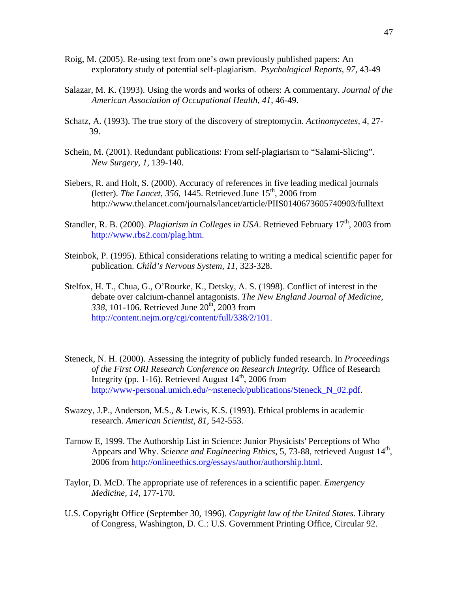- Roig, M. (2005). Re-using text from one's own previously published papers: An exploratory study of potential self-plagiarism. *Psychological Reports, 97*, 43-49
- Salazar, M. K. (1993). Using the words and works of others: A commentary. *Journal of the American Association of Occupational Health, 41*, 46-49.
- Schatz, A. (1993). The true story of the discovery of streptomycin. *Actinomycetes, 4*, 27- 39.
- Schein, M. (2001). Redundant publications: From self-plagiarism to "Salami-Slicing". *New Surgery, 1,* 139-140.
- Siebers, R. and Holt, S. (2000). Accuracy of references in five leading medical journals (letter). *The Lancet, 356*, 1445. Retrieved June 15<sup>th</sup>, 2006 from http://www.thelancet.com/journals/lancet/article/PIIS0140673605740903/fulltext
- Standler, R. B. (2000). *Plagiarism in Colleges in USA*. Retrieved February 17<sup>th</sup>, 2003 from http://www.rbs2.com/plag.htm.
- Steinbok, P. (1995). Ethical considerations relating to writing a medical scientific paper for publication. *Child's Nervous System, 11,* 323-328.
- Stelfox, H. T., Chua, G., O'Rourke, K., Detsky, A. S. (1998). Conflict of interest in the debate over calcium-channel antagonists. *The New England Journal of Medicine,*  338, 101-106. Retrieved June 20<sup>th</sup>, 2003 from http://content.nejm.org/cgi/content/full/338/2/101.
- Steneck, N. H. (2000). Assessing the integrity of publicly funded research. In *Proceedings of the First ORI Research Conference on Research Integrity.* Office of Research Integrity (pp. 1-16). Retrieved August  $14<sup>th</sup>$ , 2006 from http://www-personal.umich.edu/~nsteneck/publications/Steneck\_N\_02.pdf.
- Swazey, J.P., Anderson, M.S., & Lewis, K.S. (1993). Ethical problems in academic research. *American Scientist, 81,* 542-553.
- Tarnow E, 1999. The Authorship List in Science: Junior Physicists' Perceptions of Who Appears and Why. *Science and Engineering Ethics*, 5, 73-88, retrieved August 14<sup>th</sup>, 2006 from http://onlineethics.org/essays/author/authorship.html.
- Taylor, D. McD. The appropriate use of references in a scientific paper. *Emergency Medicine, 14*, 177-170.
- U.S. Copyright Office (September 30, 1996). *Copyright law of the United States*. Library of Congress, Washington, D. C.: U.S. Government Printing Office, Circular 92.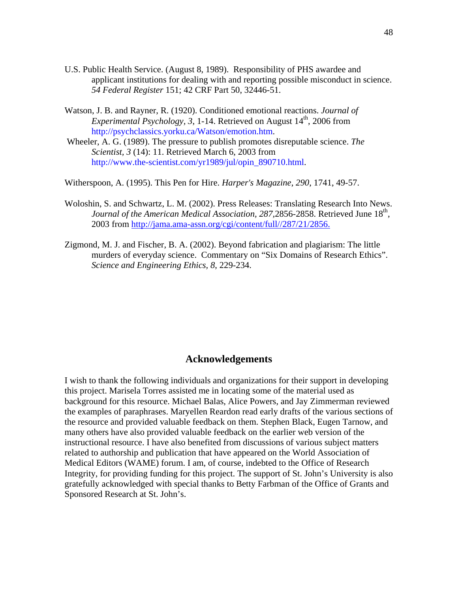- U.S. Public Health Service. (August 8, 1989). Responsibility of PHS awardee and applicant institutions for dealing with and reporting possible misconduct in science. *54 Federal Register* 151; 42 CRF Part 50, 32446-51.
- Watson, J. B. and Rayner, R. (1920). Conditioned emotional reactions. *Journal of Experimental Psychology, 3, 1-14. Retrieved on August 14<sup>th</sup>, 2006 from* http://psychclassics.yorku.ca/Watson/emotion.htm.
- Wheeler, A. G. (1989). The pressure to publish promotes disreputable science. *The Scientist, 3* (14): 11. Retrieved March 6, 2003 from http://www.the-scientist.com/yr1989/jul/opin\_890710.html.

Witherspoon, A. (1995). This Pen for Hire. *Harper's Magazine*, *290*, 1741, 49-57.

- Woloshin, S. and Schwartz, L. M. (2002). Press Releases: Translating Research Into News. *Journal of the American Medical Association, 287,2856-2858.* Retrieved June 18<sup>th</sup>, 2003 from http://jama.ama-assn.org/cgi/content/full//287/21/2856.
- Zigmond, M. J. and Fischer, B. A. (2002). Beyond fabrication and plagiarism: The little murders of everyday science. Commentary on "Six Domains of Research Ethics". *Science and Engineering Ethics, 8*, 229-234.

## **Acknowledgements**

I wish to thank the following individuals and organizations for their support in developing this project. Marisela Torres assisted me in locating some of the material used as background for this resource. Michael Balas, Alice Powers, and Jay Zimmerman reviewed the examples of paraphrases. Maryellen Reardon read early drafts of the various sections of the resource and provided valuable feedback on them. Stephen Black, Eugen Tarnow, and many others have also provided valuable feedback on the earlier web version of the instructional resource. I have also benefited from discussions of various subject matters related to authorship and publication that have appeared on the World Association of Medical Editors (WAME) forum. I am, of course, indebted to the Office of Research Integrity, for providing funding for this project. The support of St. John's University is also gratefully acknowledged with special thanks to Betty Farbman of the Office of Grants and Sponsored Research at St. John's.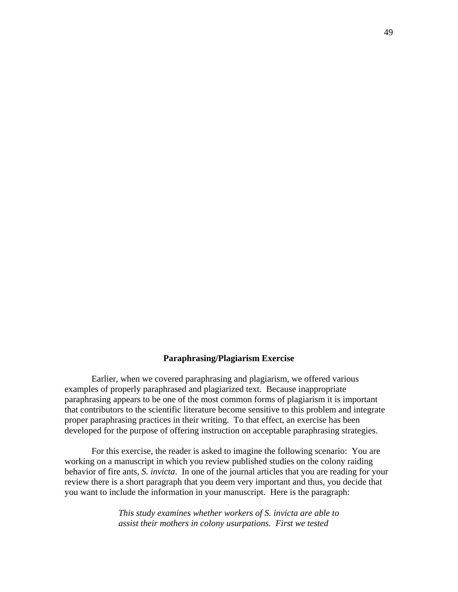#### **Paraphrasing/Plagiarism Exercise**

Earlier, when we covered paraphrasing and plagiarism, we offered various examples of properly paraphrased and plagiarized text. Because inappropriate paraphrasing appears to be one of the most common forms of plagiarism it is important that contributors to the scientific literature become sensitive to this problem and integrate proper paraphrasing practices in their writing. To that effect, an exercise has been developed for the purpose of offering instruction on acceptable paraphrasing strategies.

For this exercise, the reader is asked to imagine the following scenario: You are working on a manuscript in which you review published studies on the colony raiding behavior of fire ants, *S. invicta*. In one of the journal articles that you are reading for your review there is a short paragraph that you deem very important and thus, you decide that you want to include the information in your manuscript. Here is the paragraph:

> *This study examines whether workers of S. invicta are able to assist their mothers in colony usurpations. First we tested*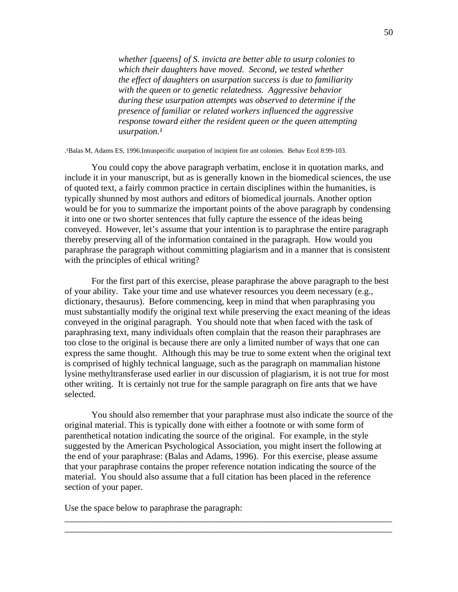*whether [queens] of S. invicta are better able to usurp colonies to which their daughters have moved. Second, we tested whether the effect of daughters on usurpation success is due to familiarity with the queen or to genetic relatedness. Aggressive behavior during these usurpation attempts was observed to determine if the presence of familiar or related workers influenced the aggressive response toward either the resident queen or the queen attempting*  usurpation.<sup>1</sup>

.¹Balas M, Adams ES, 1996.Intraspecific usurpation of incipient fire ant colonies. Behav Ecol 8:99-103.

You could copy the above paragraph verbatim, enclose it in quotation marks, and include it in your manuscript, but as is generally known in the biomedical sciences, the use of quoted text, a fairly common practice in certain disciplines within the humanities, is typically shunned by most authors and editors of biomedical journals. Another option would be for you to summarize the important points of the above paragraph by condensing it into one or two shorter sentences that fully capture the essence of the ideas being conveyed. However, let's assume that your intention is to paraphrase the entire paragraph thereby preserving all of the information contained in the paragraph. How would you paraphrase the paragraph without committing plagiarism and in a manner that is consistent with the principles of ethical writing?

For the first part of this exercise, please paraphrase the above paragraph to the best of your ability. Take your time and use whatever resources you deem necessary (e.g., dictionary, thesaurus). Before commencing, keep in mind that when paraphrasing you must substantially modify the original text while preserving the exact meaning of the ideas conveyed in the original paragraph. You should note that when faced with the task of paraphrasing text, many individuals often complain that the reason their paraphrases are too close to the original is because there are only a limited number of ways that one can express the same thought. Although this may be true to some extent when the original text is comprised of highly technical language, such as the paragraph on mammalian histone lysine methyltransferase used earlier in our discussion of plagiarism, it is not true for most other writing. It is certainly not true for the sample paragraph on fire ants that we have selected.

You should also remember that your paraphrase must also indicate the source of the original material. This is typically done with either a footnote or with some form of parenthetical notation indicating the source of the original. For example, in the style suggested by the American Psychological Association, you might insert the following at the end of your paraphrase: (Balas and Adams, 1996). For this exercise, please assume that your paraphrase contains the proper reference notation indicating the source of the material. You should also assume that a full citation has been placed in the reference section of your paper.

\_\_\_\_\_\_\_\_\_\_\_\_\_\_\_\_\_\_\_\_\_\_\_\_\_\_\_\_\_\_\_\_\_\_\_\_\_\_\_\_\_\_\_\_\_\_\_\_\_\_\_\_\_\_\_\_\_\_\_\_\_\_\_\_\_\_\_\_\_\_\_\_\_ \_\_\_\_\_\_\_\_\_\_\_\_\_\_\_\_\_\_\_\_\_\_\_\_\_\_\_\_\_\_\_\_\_\_\_\_\_\_\_\_\_\_\_\_\_\_\_\_\_\_\_\_\_\_\_\_\_\_\_\_\_\_\_\_\_\_\_\_\_\_\_\_\_

Use the space below to paraphrase the paragraph: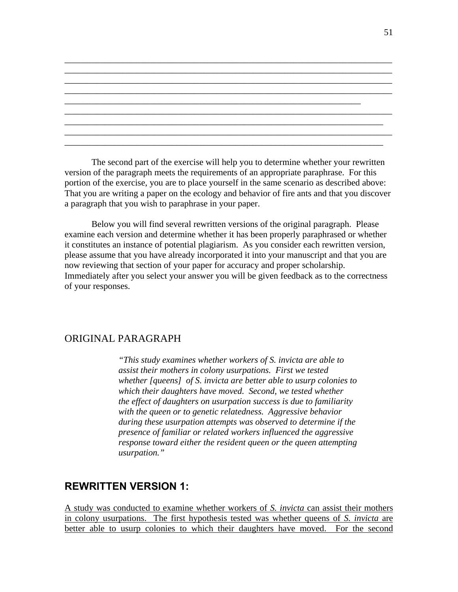The second part of the exercise will help you to determine whether your rewritten version of the paragraph meets the requirements of an appropriate paraphrase. For this portion of the exercise, you are to place yourself in the same scenario as described above: That you are writing a paper on the ecology and behavior of fire ants and that you discover a paragraph that you wish to paraphrase in your paper.

\_\_\_\_\_\_\_\_\_\_\_\_\_\_\_\_\_\_\_\_\_\_\_\_\_\_\_\_\_\_\_\_\_\_\_\_\_\_\_\_\_\_\_\_\_\_\_\_\_\_\_\_\_\_\_\_\_\_\_\_\_\_\_\_\_\_\_\_\_\_\_\_\_ \_\_\_\_\_\_\_\_\_\_\_\_\_\_\_\_\_\_\_\_\_\_\_\_\_\_\_\_\_\_\_\_\_\_\_\_\_\_\_\_\_\_\_\_\_\_\_\_\_\_\_\_\_\_\_\_\_\_\_\_\_\_\_\_\_\_\_\_\_\_\_\_\_ \_\_\_\_\_\_\_\_\_\_\_\_\_\_\_\_\_\_\_\_\_\_\_\_\_\_\_\_\_\_\_\_\_\_\_\_\_\_\_\_\_\_\_\_\_\_\_\_\_\_\_\_\_\_\_\_\_\_\_\_\_\_\_\_\_\_\_\_\_\_\_\_\_ \_\_\_\_\_\_\_\_\_\_\_\_\_\_\_\_\_\_\_\_\_\_\_\_\_\_\_\_\_\_\_\_\_\_\_\_\_\_\_\_\_\_\_\_\_\_\_\_\_\_\_\_\_\_\_\_\_\_\_\_\_\_\_\_\_\_\_\_\_\_\_\_\_

\_\_\_\_\_\_\_\_\_\_\_\_\_\_\_\_\_\_\_\_\_\_\_\_\_\_\_\_\_\_\_\_\_\_\_\_\_\_\_\_\_\_\_\_\_\_\_\_\_\_\_\_\_\_\_\_\_\_\_\_\_\_\_\_\_\_\_\_\_\_\_\_\_ \_\_\_\_\_\_\_\_\_\_\_\_\_\_\_\_\_\_\_\_\_\_\_\_\_\_\_\_\_\_\_\_\_\_\_\_\_\_\_\_\_\_\_\_\_\_\_\_\_\_\_\_\_\_\_\_\_\_\_\_\_\_\_\_\_\_\_\_\_\_\_ \_\_\_\_\_\_\_\_\_\_\_\_\_\_\_\_\_\_\_\_\_\_\_\_\_\_\_\_\_\_\_\_\_\_\_\_\_\_\_\_\_\_\_\_\_\_\_\_\_\_\_\_\_\_\_\_\_\_\_\_\_\_\_\_\_\_\_\_\_\_\_\_\_ \_\_\_\_\_\_\_\_\_\_\_\_\_\_\_\_\_\_\_\_\_\_\_\_\_\_\_\_\_\_\_\_\_\_\_\_\_\_\_\_\_\_\_\_\_\_\_\_\_\_\_\_\_\_\_\_\_\_\_\_\_\_\_\_\_\_\_\_\_\_\_

\_\_\_\_\_\_\_\_\_\_\_\_\_\_\_\_\_\_\_\_\_\_\_\_\_\_\_\_\_\_\_\_\_\_\_\_\_\_\_\_\_\_\_\_\_\_\_\_\_\_\_\_\_\_\_\_\_\_\_\_\_\_\_\_\_\_

Below you will find several rewritten versions of the original paragraph. Please examine each version and determine whether it has been properly paraphrased or whether it constitutes an instance of potential plagiarism. As you consider each rewritten version, please assume that you have already incorporated it into your manuscript and that you are now reviewing that section of your paper for accuracy and proper scholarship. Immediately after you select your answer you will be given feedback as to the correctness of your responses.

# ORIGINAL PARAGRAPH

*"This study examines whether workers of S. invicta are able to assist their mothers in colony usurpations. First we tested whether [queens] of S. invicta are better able to usurp colonies to which their daughters have moved. Second, we tested whether the effect of daughters on usurpation success is due to familiarity with the queen or to genetic relatedness. Aggressive behavior during these usurpation attempts was observed to determine if the presence of familiar or related workers influenced the aggressive response toward either the resident queen or the queen attempting usurpation."* 

# **REWRITTEN VERSION 1:**

A study was conducted to examine whether workers of *S. invicta* can assist their mothers in colony usurpations. The first hypothesis tested was whether queens of *S. invicta* are better able to usurp colonies to which their daughters have moved. For the second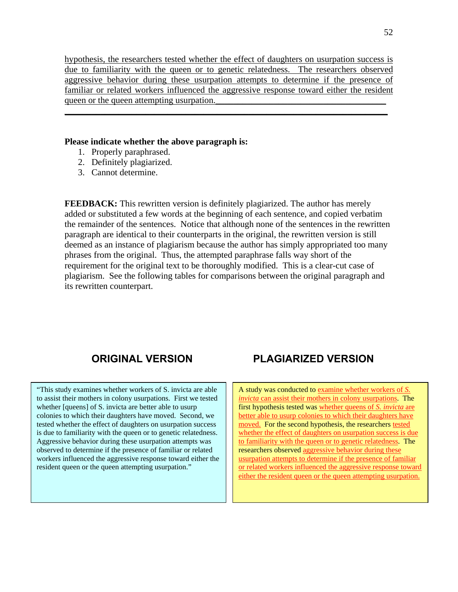hypothesis, the researchers tested whether the effect of daughters on usurpation success is due to familiarity with the queen or to genetic relatedness. The researchers observed aggressive behavior during these usurpation attempts to determine if the presence of familiar or related workers influenced the aggressive response toward either the resident queen or the queen attempting usurpation.

\_\_\_\_\_\_\_\_\_\_\_\_\_\_\_\_\_\_\_\_\_\_\_\_\_\_\_\_\_\_\_\_\_\_\_\_\_\_\_\_\_\_\_\_\_\_\_\_\_\_\_\_\_\_\_\_\_\_\_\_\_\_\_\_\_\_\_\_\_\_\_\_

#### **Please indicate whether the above paragraph is:**

- 1. Properly paraphrased.
- 2. Definitely plagiarized.
- 3. Cannot determine.

**FEEDBACK:** This rewritten version is definitely plagiarized. The author has merely added or substituted a few words at the beginning of each sentence, and copied verbatim the remainder of the sentences. Notice that although none of the sentences in the rewritten paragraph are identical to their counterparts in the original, the rewritten version is still deemed as an instance of plagiarism because the author has simply appropriated too many phrases from the original. Thus, the attempted paraphrase falls way short of the requirement for the original text to be thoroughly modified. This is a clear-cut case of plagiarism. See the following tables for comparisons between the original paragraph and its rewritten counterpart.

"This study examines whether workers of S. invicta are able to assist their mothers in colony usurpations. First we tested whether [queens] of S. invicta are better able to usurp colonies to which their daughters have moved. Second, we tested whether the effect of daughters on usurpation success is due to familiarity with the queen or to genetic relatedness. Aggressive behavior during these usurpation attempts was observed to determine if the presence of familiar or related workers influenced the aggressive response toward either the resident queen or the queen attempting usurpation."

# **ORIGINAL VERSION PLAGIARIZED VERSION**

A study was conducted to examine whether workers of *S. invicta* can assist their mothers in colony usurpations. The first hypothesis tested was whether queens of *S. invicta* are better able to usurp colonies to which their daughters have moved. For the second hypothesis, the researchers tested whether the effect of daughters on usurpation success is due to familiarity with the queen or to genetic relatedness. The researchers observed aggressive behavior during these usurpation attempts to determine if the presence of familiar or related workers influenced the aggressive response toward either the resident queen or the queen attempting usurpation.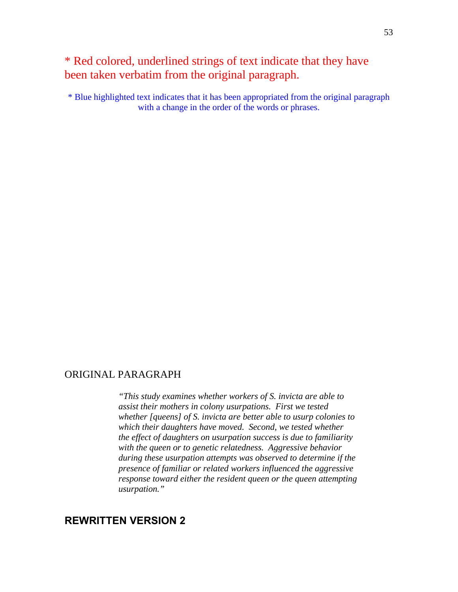# \* Red colored, underlined strings of text indicate that they have been taken verbatim from the original paragraph.

\* Blue highlighted text indicates that it has been appropriated from the original paragraph with a change in the order of the words or phrases.

# ORIGINAL PARAGRAPH

*"This study examines whether workers of S. invicta are able to assist their mothers in colony usurpations. First we tested whether [queens] of S. invicta are better able to usurp colonies to which their daughters have moved. Second, we tested whether the effect of daughters on usurpation success is due to familiarity with the queen or to genetic relatedness. Aggressive behavior during these usurpation attempts was observed to determine if the presence of familiar or related workers influenced the aggressive response toward either the resident queen or the queen attempting usurpation."* 

# **REWRITTEN VERSION 2**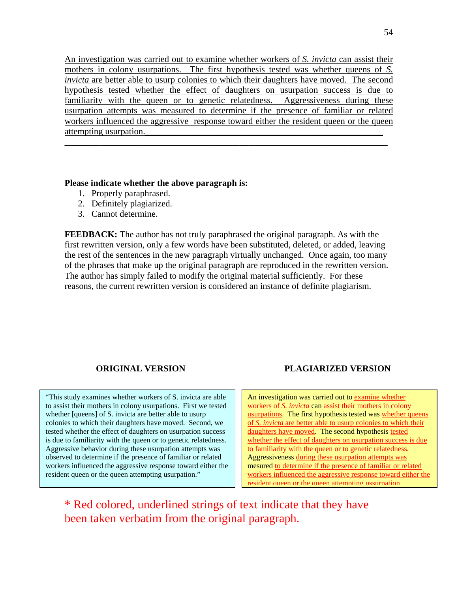An investigation was carried out to examine whether workers of *S. invicta* can assist their mothers in colony usurpations. The first hypothesis tested was whether queens of *S. invicta* are better able to usurp colonies to which their daughters have moved. The second hypothesis tested whether the effect of daughters on usurpation success is due to familiarity with the queen or to genetic relatedness. Aggressiveness during these usurpation attempts was measured to determine if the presence of familiar or related workers influenced the aggressive response toward either the resident queen or the queen attempting usurpation. \_\_\_\_\_\_\_\_\_\_\_\_\_\_\_\_\_\_\_\_\_\_\_\_\_\_\_\_\_\_\_\_\_\_\_\_\_\_\_\_\_\_\_\_\_\_\_\_\_\_\_\_\_\_\_\_\_\_\_\_\_\_\_\_\_\_\_\_\_\_\_\_

## **Please indicate whether the above paragraph is:**

- 1. Properly paraphrased.
- 2. Definitely plagiarized.
- 3. Cannot determine.

**FEEDBACK:** The author has not truly paraphrased the original paragraph. As with the first rewritten version, only a few words have been substituted, deleted, or added, leaving the rest of the sentences in the new paragraph virtually unchanged. Once again, too many of the phrases that make up the original paragraph are reproduced in the rewritten version. The author has simply failed to modify the original material sufficiently. For these reasons, the current rewritten version is considered an instance of definite plagiarism.

"This study examines whether workers of S. invicta are able to assist their mothers in colony usurpations. First we tested whether [queens] of S. invicta are better able to usurp colonies to which their daughters have moved. Second, we tested whether the effect of daughters on usurpation success is due to familiarity with the queen or to genetic relatedness. Aggressive behavior during these usurpation attempts was observed to determine if the presence of familiar or related workers influenced the aggressive response toward either the resident queen or the queen attempting usurpation."

# **ORIGINAL VERSION PLAGIARIZED VERSION**

An investigation was carried out to examine whether workers of *S. invicta* can assist their mothers in colony usurpations. The first hypothesis tested was whether queens of *S. invicta* are better able to usurp colonies to which their daughters have moved. The second hypothesis tested whether the effect of daughters on usurpation success is due to familiarity with the queen or to genetic relatedness. Aggressiveness during these usurpation attempts was mesured to determine if the presence of familiar or related workers influenced the aggressive response toward either the resident queen or the queen attempting ussurpation

\* Red colored, underlined strings of text indicate that they have been taken verbatim from the original paragraph.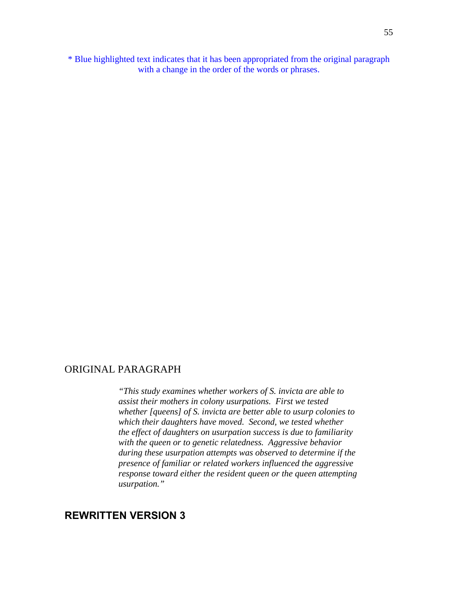\* Blue highlighted text indicates that it has been appropriated from the original paragraph with a change in the order of the words or phrases.

## ORIGINAL PARAGRAPH

*"This study examines whether workers of S. invicta are able to assist their mothers in colony usurpations. First we tested whether [queens] of S. invicta are better able to usurp colonies to which their daughters have moved. Second, we tested whether the effect of daughters on usurpation success is due to familiarity with the queen or to genetic relatedness. Aggressive behavior during these usurpation attempts was observed to determine if the presence of familiar or related workers influenced the aggressive response toward either the resident queen or the queen attempting usurpation."* 

# **REWRITTEN VERSION 3**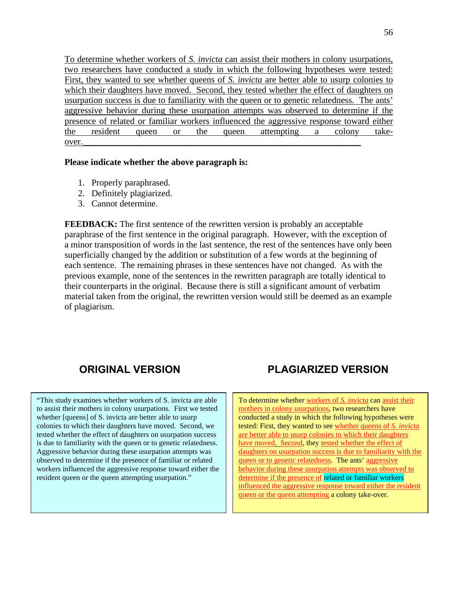To determine whether workers of *S. invicta* can assist their mothers in colony usurpations, two researchers have conducted a study in which the following hypotheses were tested: First, they wanted to see whether queens of *S. invicta* are better able to usurp colonies to which their daughters have moved. Second, they tested whether the effect of daughters on usurpation success is due to familiarity with the queen or to genetic relatedness. The ants' aggressive behavior during these usurpation attempts was observed to determine if the presence of related or familiar workers influenced the aggressive response toward either the resident queen or the queen attempting a colony take $over.$  Over.

#### **Please indicate whether the above paragraph is:**

- 1. Properly paraphrased.
- 2. Definitely plagiarized.
- 3. Cannot determine.

**FEEDBACK:** The first sentence of the rewritten version is probably an acceptable paraphrase of the first sentence in the original paragraph. However, with the exception of a minor transposition of words in the last sentence, the rest of the sentences have only been superficially changed by the addition or substitution of a few words at the beginning of each sentence. The remaining phrases in these sentences have not changed. As with the previous example, none of the sentences in the rewritten paragraph are totally identical to their counterparts in the original. Because there is still a significant amount of verbatim material taken from the original, the rewritten version would still be deemed as an example of plagiarism.

"This study examines whether workers of S. invicta are able to assist their mothers in colony usurpations. First we tested whether [queens] of S. invicta are better able to usurp colonies to which their daughters have moved. Second, we tested whether the effect of daughters on usurpation success is due to familiarity with the queen or to genetic relatedness. Aggressive behavior during these usurpation attempts was observed to determine if the presence of familiar or related workers influenced the aggressive response toward either the resident queen or the queen attempting usurpation."

# **ORIGINAL VERSION PLAGIARIZED VERSION**

To determine whether workers of *S. invicta* can assist their mothers in colony usurpations, two researchers have conducted a study in which the following hypotheses were tested: First, they wanted to see whether queens of *S. invicta*  are better able to usurp colonies to which their daughters have moved. Second, they tested whether the effect of daughters on usurpation success is due to familiarity with the queen or to genetic relatedness. The ants' aggressive behavior during these usurpation attempts was observed to determine if the presence of related or familiar workers influenced the aggressive response toward either the resident queen or the queen attempting a colony take-over.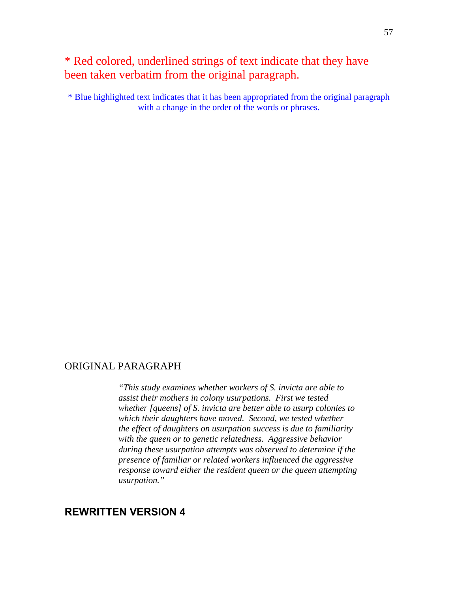# \* Red colored, underlined strings of text indicate that they have been taken verbatim from the original paragraph.

\* Blue highlighted text indicates that it has been appropriated from the original paragraph with a change in the order of the words or phrases.

# ORIGINAL PARAGRAPH

*"This study examines whether workers of S. invicta are able to assist their mothers in colony usurpations. First we tested whether [queens] of S. invicta are better able to usurp colonies to which their daughters have moved. Second, we tested whether the effect of daughters on usurpation success is due to familiarity with the queen or to genetic relatedness. Aggressive behavior during these usurpation attempts was observed to determine if the presence of familiar or related workers influenced the aggressive response toward either the resident queen or the queen attempting usurpation."* 

# **REWRITTEN VERSION 4**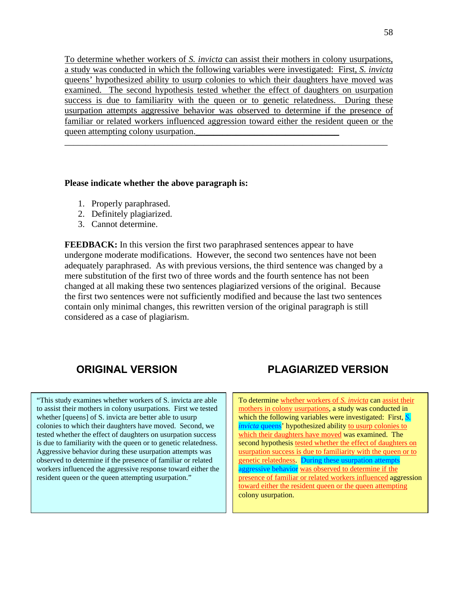To determine whether workers of *S. invicta* can assist their mothers in colony usurpations, a study was conducted in which the following variables were investigated: First, *S. invicta*  queens' hypothesized ability to usurp colonies to which their daughters have moved was examined. The second hypothesis tested whether the effect of daughters on usurpation success is due to familiarity with the queen or to genetic relatedness. During these usurpation attempts aggressive behavior was observed to determine if the presence of familiar or related workers influenced aggression toward either the resident queen or the queen attempting colony usurpation.

\_\_\_\_\_\_\_\_\_\_\_\_\_\_\_\_\_\_\_\_\_\_\_\_\_\_\_\_\_\_\_\_\_\_\_\_\_\_\_\_\_\_\_\_\_\_\_\_\_\_\_\_\_\_\_\_\_\_\_\_\_\_\_\_\_\_\_\_\_\_\_\_

#### **Please indicate whether the above paragraph is:**

- 1. Properly paraphrased.
- 2. Definitely plagiarized.
- 3. Cannot determine.

**FEEDBACK:** In this version the first two paraphrased sentences appear to have undergone moderate modifications. However, the second two sentences have not been adequately paraphrased. As with previous versions, the third sentence was changed by a mere substitution of the first two of three words and the fourth sentence has not been changed at all making these two sentences plagiarized versions of the original. Because the first two sentences were not sufficiently modified and because the last two sentences contain only minimal changes, this rewritten version of the original paragraph is still considered as a case of plagiarism.

"This study examines whether workers of S. invicta are able to assist their mothers in colony usurpations. First we tested whether [queens] of S. invicta are better able to usurp colonies to which their daughters have moved. Second, we tested whether the effect of daughters on usurpation success is due to familiarity with the queen or to genetic relatedness. Aggressive behavior during these usurpation attempts was observed to determine if the presence of familiar or related workers influenced the aggressive response toward either the resident queen or the queen attempting usurpation."

# **ORIGINAL VERSION PLAGIARIZED VERSION**

To determine whether workers of *S. invicta* can assist their mothers in colony usurpations, a study was conducted in which the following variables were investigated: First, *S. invicta* queens' hypothesized ability to usurp colonies to which their daughters have moved was examined. The second hypothesis tested whether the effect of daughters on usurpation success is due to familiarity with the queen or to genetic relatedness. During these usurpation attempts aggressive behavior was observed to determine if the presence of familiar or related workers influenced aggression toward either the resident queen or the queen attempting colony usurpation.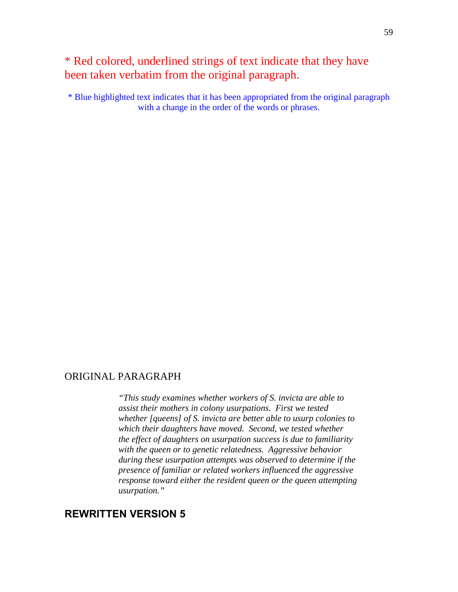# \* Red colored, underlined strings of text indicate that they have been taken verbatim from the original paragraph.

\* Blue highlighted text indicates that it has been appropriated from the original paragraph with a change in the order of the words or phrases.

## ORIGINAL PARAGRAPH

*"This study examines whether workers of S. invicta are able to assist their mothers in colony usurpations. First we tested whether [queens] of S. invicta are better able to usurp colonies to which their daughters have moved. Second, we tested whether the effect of daughters on usurpation success is due to familiarity with the queen or to genetic relatedness. Aggressive behavior during these usurpation attempts was observed to determine if the presence of familiar or related workers influenced the aggressive response toward either the resident queen or the queen attempting usurpation."* 

# **REWRITTEN VERSION 5**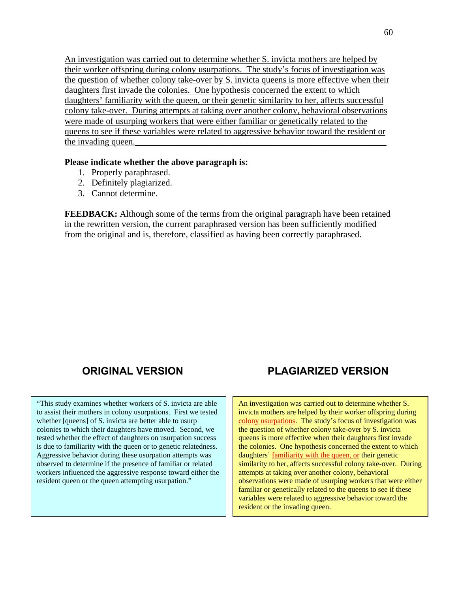An investigation was carried out to determine whether S. invicta mothers are helped by their worker offspring during colony usurpations. The study's focus of investigation was the question of whether colony take-over by S. invicta queens is more effective when their daughters first invade the colonies. One hypothesis concerned the extent to which daughters' familiarity with the queen, or their genetic similarity to her, affects successful colony take-over. During attempts at taking over another colony, behavioral observations were made of usurping workers that were either familiar or genetically related to the queens to see if these variables were related to aggressive behavior toward the resident or the invading queen.

### **Please indicate whether the above paragraph is:**

- 1. Properly paraphrased.
- 2. Definitely plagiarized.
- 3. Cannot determine.

**FEEDBACK:** Although some of the terms from the original paragraph have been retained in the rewritten version, the current paraphrased version has been sufficiently modified from the original and is, therefore, classified as having been correctly paraphrased.

"This study examines whether workers of S. invicta are able to assist their mothers in colony usurpations. First we tested whether [queens] of S. invicta are better able to usurp colonies to which their daughters have moved. Second, we tested whether the effect of daughters on usurpation success is due to familiarity with the queen or to genetic relatedness. Aggressive behavior during these usurpation attempts was observed to determine if the presence of familiar or related workers influenced the aggressive response toward either the resident queen or the queen attempting usurpation."

# **ORIGINAL VERSION PLAGIARIZED VERSION**

An investigation was carried out to determine whether S. invicta mothers are helped by their worker offspring during colony usurpations. The study's focus of investigation was the question of whether colony take-over by S. invicta queens is more effective when their daughters first invade the colonies. One hypothesis concerned the extent to which daughters' familiarity with the queen, or their genetic similarity to her, affects successful colony take-over. During attempts at taking over another colony, behavioral observations were made of usurping workers that were either familiar or genetically related to the queens to see if these variables were related to aggressive behavior toward the resident or the invading queen.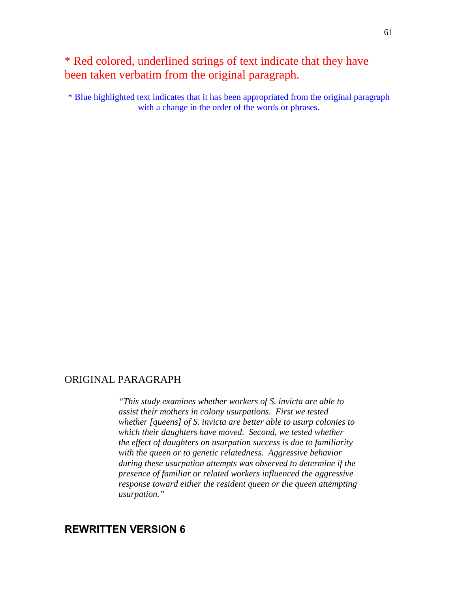# \* Red colored, underlined strings of text indicate that they have been taken verbatim from the original paragraph.

\* Blue highlighted text indicates that it has been appropriated from the original paragraph with a change in the order of the words or phrases.

# ORIGINAL PARAGRAPH

*"This study examines whether workers of S. invicta are able to assist their mothers in colony usurpations. First we tested whether [queens] of S. invicta are better able to usurp colonies to which their daughters have moved. Second, we tested whether the effect of daughters on usurpation success is due to familiarity with the queen or to genetic relatedness. Aggressive behavior during these usurpation attempts was observed to determine if the presence of familiar or related workers influenced the aggressive response toward either the resident queen or the queen attempting usurpation."* 

# **REWRITTEN VERSION 6**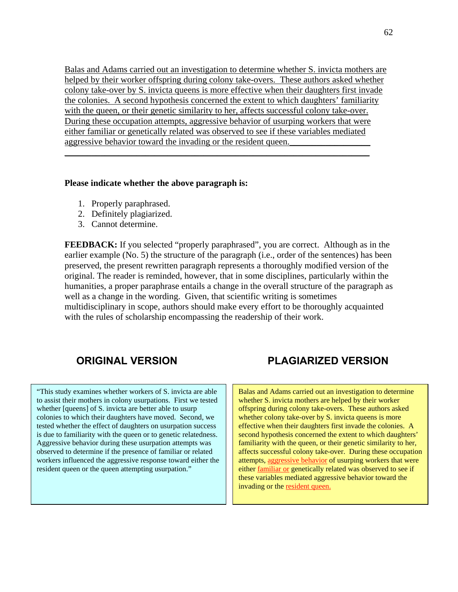Balas and Adams carried out an investigation to determine whether S. invicta mothers are helped by their worker offspring during colony take-overs. These authors asked whether colony take-over by S. invicta queens is more effective when their daughters first invade the colonies. A second hypothesis concerned the extent to which daughters' familiarity with the queen, or their genetic similarity to her, affects successful colony take-over. During these occupation attempts, aggressive behavior of usurping workers that were either familiar or genetically related was observed to see if these variables mediated aggressive behavior toward the invading or the resident queen.

 $\_$  , and the set of the set of the set of the set of the set of the set of the set of the set of the set of the set of the set of the set of the set of the set of the set of the set of the set of the set of the set of th

## **Please indicate whether the above paragraph is:**

- 1. Properly paraphrased.
- 2. Definitely plagiarized.
- 3. Cannot determine.

**FEEDBACK:** If you selected "properly paraphrased", you are correct. Although as in the earlier example (No. 5) the structure of the paragraph (i.e., order of the sentences) has been preserved, the present rewritten paragraph represents a thoroughly modified version of the original. The reader is reminded, however, that in some disciplines, particularly within the humanities, a proper paraphrase entails a change in the overall structure of the paragraph as well as a change in the wording. Given, that scientific writing is sometimes multidisciplinary in scope, authors should make every effort to be thoroughly acquainted with the rules of scholarship encompassing the readership of their work.

"This study examines whether workers of S. invicta are able to assist their mothers in colony usurpations. First we tested whether [queens] of S. invicta are better able to usurp colonies to which their daughters have moved. Second, we tested whether the effect of daughters on usurpation success is due to familiarity with the queen or to genetic relatedness. Aggressive behavior during these usurpation attempts was observed to determine if the presence of familiar or related workers influenced the aggressive response toward either the resident queen or the queen attempting usurpation."

# **ORIGINAL VERSION PLAGIARIZED VERSION**

Balas and Adams carried out an investigation to determine whether S. invicta mothers are helped by their worker offspring during colony take-overs. These authors asked whether colony take-over by S. invicta queens is more effective when their daughters first invade the colonies. A second hypothesis concerned the extent to which daughters' familiarity with the queen, or their genetic similarity to her, affects successful colony take-over. During these occupation attempts, aggressive behavior of usurping workers that were either familiar or genetically related was observed to see if these variables mediated aggressive behavior toward the invading or the resident queen.